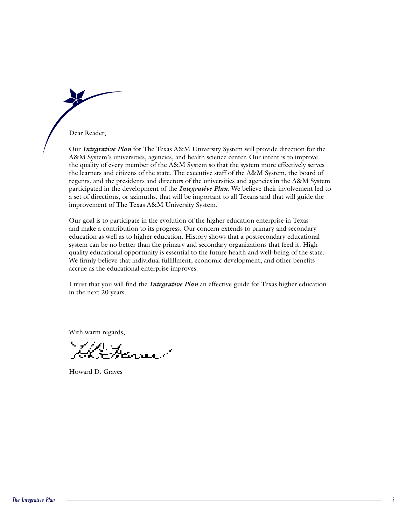the quality of the A&M System so that the System so that the system so that the system more effectively serves serves serves in the system more effectively serves in the system more effectively serves in the system of the

Dear Reader,

Dear Reader,<br>Our *Integrative Plan* for The Texas A&M University System will provide direction for the A&M System's universities, agencies, and health science center. Our intent is to improve the quality of every member of the A&M System so that the system more effectively serves the learners and citizens of the state. The executive staff of the A&M System, the board of regents, and the presidents and directors of the universities and agencies in the A&M System *A&M System's universities, agencies, and health science center. Our intent is to improve the quality of every member of the <i>A&M System so that the system more effectively serves* the learners and citizens of the state. T a set of directions, or azimuths, that will be important to all Texans and that will guide the improvement of The Texas A&M University System.

Our goal is to participate in the evolution of the higher education enterprise in Texas and make a contribution to its progress. Our concern extends to primary and secondary education as well as to higher education. History shows that a postsecondary educational system can be no better than the primary and secondary organizations that feed it. High quality educational opportunity is essential to the future health and well-being of the state. We firmly believe that individual fulfillment, economic development, and other benefits accrue as the educational enterprise improves.

I trust that you will find the *Integrative Plan* an effective guide for Texas higher education in the next 20 years.

With warm regards,

Howard D. Graves

Howard D. Graves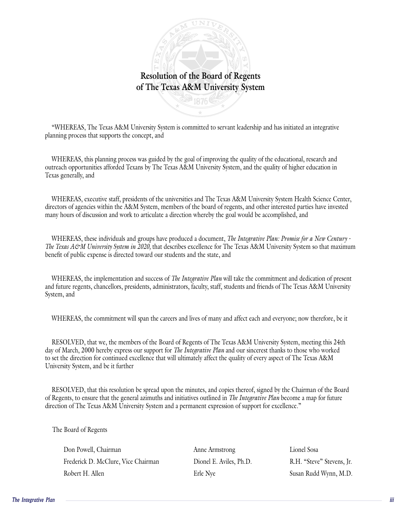

"WHEREAS, The Texas A&M University System is committed to servant leadership and has initiated an integrative WHEREAS, The Female Process was guided by the goal of the goal of the goal of the concept, and  $r = 0$ . protunities affortunities afforded Texas A&M University System, and the protection in the quality of higher education in the protection in the quality of higher education in the quality of higher education in the system of

WHEREAS, this planning process was guided by the goal of improving the quality of the educational, research and Where  $\epsilon$  is the university of the university of the university of the Texas Administration of the University System Health Science Center, and The Texas Administration of Texas generally, and  $\epsilon$  such  $S$  system, members of the board of the board of regents, and other interested parties have in

WHEREAS, executive staff, presidents of the universities and The Texas A&M University System Health Science Center, directors of agencies within the A&M System, members of the board of regents, and other interested parties have invested where is a generor whill the recent system, indicate of the sound of regains, and sense interested put

WHEREAS, these individuals and groups have produced a document, *The Integrative Plan: Promise for a New Century -The Texas A&M University System in 2020,* that describes excellence for The Texas A&M University System so that maximum The interest of the interest of the interest of the interest of the state, and the state, and the state, and and future regents, presidents, presidents, factors, factors, factors, factors, factors, studies of Texas A&M U

*The Integrative Plan will take the commitment and dedication of present* where  $\frac{1}{2}$  commitment, producing and linearchies, and  $\frac{1}{2}$ , and  $\frac{1}{2}$ , and there is no the careers  $\frac{1}{2}$ System, and

WHEREAS, the commitment will span the careers and lives of many and affect each and everyone; now therefore, be it de and  $\alpha$  of  $\alpha$  marching the community of  $\alpha$  in  $\alpha$  pair fire various

*The Integrative Plan and our sincerest thanks to those who worked* to set the direction for continued excellence that will ultimately affect the quality of every aspect of The Texas A&M  $U_{\text{E}}$  UNIVER, that we the member resolved the anti-there is resolved to the minutes of the minutes, and copies the parties of the Chairman of the Board of the Board of the Board of the Board of the Board of the Board of the Board of the Board of the Board  $\sum_{i=1}^{n}$ 

*The Integrative PlanThe Integrative Plan* become a map for future ection of The Texas A&M University System and a permanent expression of support for excellence.

 $\sum_{i=1}^{n}$ 

Fine Board of Regents<br>
Don Powell, Chairman<br>
Frederick D. McClure, Vice Chairman<br>
Robert H. Allen<br>
Robert H. Allen<br>
Proper Stevens, Jr.<br>
Robert H. Allen<br>
Erle Nye Susan Rudd Wynn, M.D.<br>
Proper Stevens, Jr.<br>
Robert H. Allen Don Powell, Chairman

Anne Armstrong Lionel Sosa

Anne Armstrong<br>
Dionel E. Aviles, Ph.D.<br>
R.H. "Steve" Stevens, Jr. hairman Mine Armstrong Lionel Sosa<br>
Erle Nice Chairman Dionel E. Aviles, Ph.D. R.H. "Steve" Stevens, Jr.<br>
Erle Nye Susan Rudd Wynn, M.D.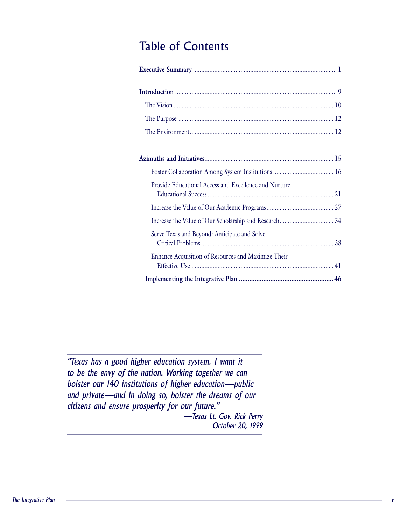| <b>Table of Contents</b>                              |  |
|-------------------------------------------------------|--|
|                                                       |  |
|                                                       |  |
|                                                       |  |
|                                                       |  |
|                                                       |  |
|                                                       |  |
|                                                       |  |
| Provide Educational Access and Excellence and Nurture |  |
|                                                       |  |
|                                                       |  |
| Serve Texas and Beyond: Anticipate and Solve          |  |
| Enhance Acquisition of Resources and Maximize Their   |  |
|                                                       |  |

*v*<br>*v*<br>*v*<br>*v*<br>*v*<br>*v*<br>*v*<br>*v*<br>*v*<br>*n*<br>*n* "Texas has a good higher education system. I want it to be the envy of the nation. Working together we can bolster our 140 institutions of higher education-public and private-and in doing so, bolster the dreams of our citizens and ensure prosperity for our future." -Texas Lt. Gov. Rick Perry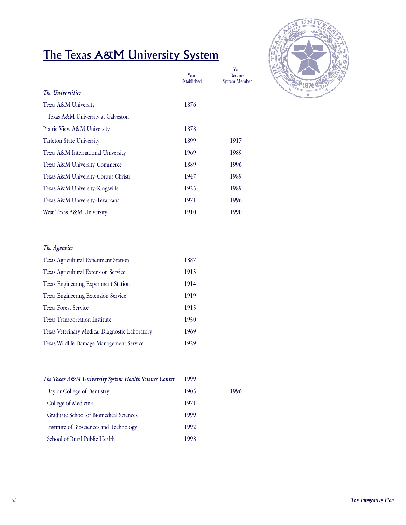# Established

| <u>The Texas A&amp;M University System</u> |                     |                                               |
|--------------------------------------------|---------------------|-----------------------------------------------|
|                                            | Year<br>Established | Year<br><b>Became</b><br><b>System Member</b> |
| The Universities                           |                     |                                               |
| Texas A&M University                       | 1876                |                                               |
| Texas A&M University at Galveston          |                     |                                               |
| Prairie View A&M University                | 1878                |                                               |
| <b>Tarleton State University</b>           | 1899                | 1917                                          |
| Texas A&M International University         | 1969                | 1989                                          |
| Texas A&M University-Commerce              | 1889                | 1996                                          |
| Texas A&M University-Corpus Christi        | 1947                | 1989                                          |
| Texas A&M University-Kingsville            | 1925                | 1989                                          |
| Texas A&M University-Texarkana             | 1971                | 1996                                          |
| West Texas A&M University                  | 1910                | 1990                                          |

#### **The Agencies**

| The Agencies                                   |      |
|------------------------------------------------|------|
| Texas Agricultural Experiment Station          | 1887 |
| Texas Agricultural Extension Service           | 1915 |
| Texas Engineering Experiment Station           | 1914 |
| Texas Engineering Extension Service            | 1919 |
| <b>Texas Forest Service</b>                    | 1915 |
| <b>Texas Transportation Institute</b>          | 1950 |
| Texas Veterinary Medical Diagnostic Laboratory | 1969 |
| Texas Wildlife Damage Management Service       | 1929 |

| The Texas A&M University System Health Science Center | 1999 |      |
|-------------------------------------------------------|------|------|
| <b>Baylor College of Dentistry</b>                    | 1905 | 1996 |
| College of Medicine                                   | 1971 |      |
| Graduate School of Biomedical Sciences                | 1999 |      |
| Institute of Biosciences and Technology               | 1992 |      |
| School of Rural Public Health                         | 1998 |      |
|                                                       |      |      |
|                                                       |      |      |
|                                                       |      |      |
|                                                       |      |      |
|                                                       |      |      |

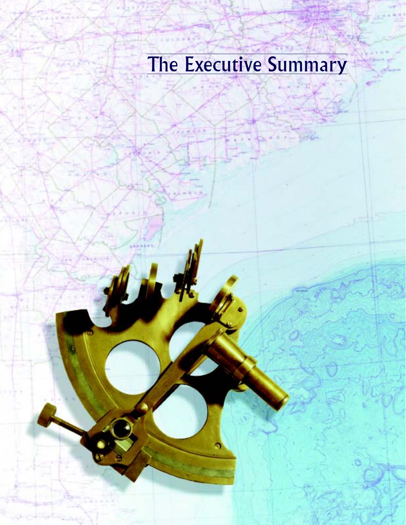# The Executive Summary

1

*Executive Summary*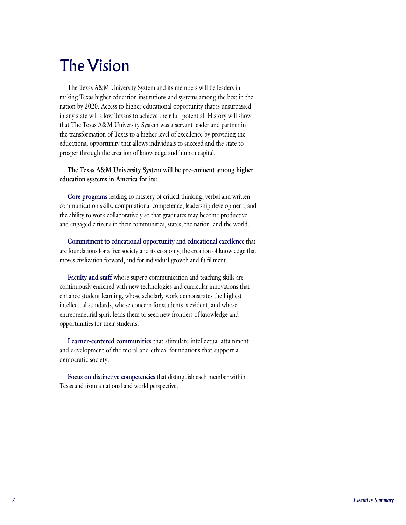#### The Vision The Vision making Texas higher education institutions and systems among the best in the

The Texas A&M University System and its members will be leaders in making Texas higher education institutions and systems among the best in the nation by 2020. Access to higher educational opportunity that is unsurpassed in any state will allow Texans to achieve their full potential. History will show that The Texas A&M University System was a servant leader and partner in the transformation of Texas to a higher level of excellence by providing the educational opportunity that allows individuals to succeed and the state to prosper through the creation of knowledge and human capital.

## **The Texas A&M University System will be pre-eminent among higher**  education systems in America for its: The Texas A&M University System will be pre-eminent among higher<br>education systems in America for its:<br>Core programs leading to mastery of critical thinking, verbal and written

communication skills, computational competence, leadership development, and the ability to work collaboratively so that graduates may become productive and engaged citizens in their communities, states, the nation, and the world.

**Commitment to educational opportunity and educational excellence** that moves civilization forward, and for individual growth and fulfillment. Foundations for a free society and its economy, the creation of knowledge<br>ves civilization forward, and for individual growth and fulfillment.<br>**Faculty and staff** whose superb communication and teaching skills are

continuously enriched with new technologies and curricular innovations that enhance student learning, whose scholarly work demonstrates the highest Faculty and staff whose superb communication and teaching skills are intellectual standards, whose concern for students is evident, and whose entrepreneurial spirit leads them to seek new frontiers of knowledge and opportunities for their students.

**Learner-centered communities** that stimulate intellectual attainment and development of the moral and ethical foundations that support a democratic society.

**Focus on distinctive competencies** that distinguish each member within Texas and from a national and world perspective.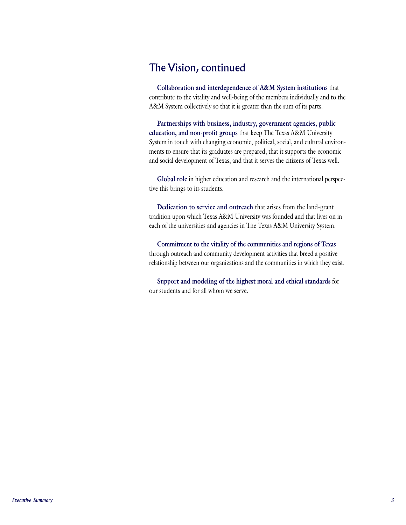## The Vision, continued well-being the vision

**Collaboration and interdependence of A&M System institutions** that contribute to the vitality and well-being of the members individually and to the A&M System collectively so that it is greater than the sum of its parts.

A&M System collectively so that it is greater than the sum of its parts.<br>**Partnerships with business, industry, government agencies, public education, and non-profit groups** that keep The Texas A&M University Partnerships with business, industry, government agencies, public System in touch with changing economic, political, social, and cultural environments to ensure that its graduates are prepared, that it supports the economic In the social development of Texas, and that it serves the citizens of Texas well.<br>**Global role** in higher education and research and the international perspec-<br>**Global role** in higher education and research and the intern and social development of Tex

tive this brings to its students. Global role in higher education and research and the international perspections by its students.<br>Dedication to service and outreach that arises from the land-grant

tradition upon which Texas A&M University was founded and that lives on in each of the universities and agencies in The Texas A&M University System.

**Commitment to the vitality of the communities and regions of Texas** through outreach and community development activities that breed a positive bugh outreach and community development activities that breed a positive tionship between our organizations and the communities in which they exis<br>Support and modeling of the highest moral and ethical standards for relationship between our organizations an

our students and for all whom we serve.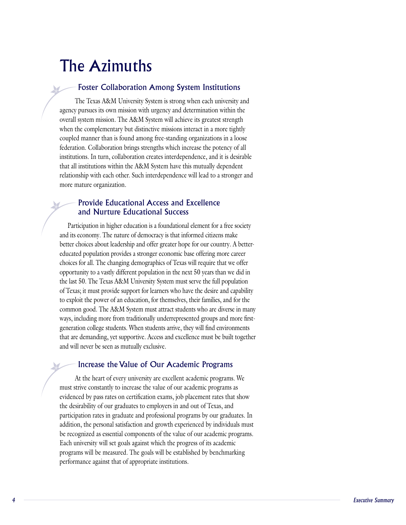#### The Azimuths  $T_{\rm eff}$  are  $T_{\rm eff}$  and  $T_{\rm eff}$  is strong when each university and university and university and university and university and university and university and university and university and university and university and u

#### Foster Collaboration Among System Institutions  $\sim$  Total system mission. The A $\mu$  System momentum

The Texas A&M University System is strong when each university and agency pursues its own mission with urgency and determination within the overall system mission. The A&M System will achieve its greatest strength when the complementary but distinctive missions interact in a more tightly coupled manner than is found among free-standing organizations in a loose institutions. In turn, collaboration creates interdependence, and it is desirable that all institutions within the A&M System have this mutually dependent federation. Collaboration brings strengths which increase the potency of all relationship with each other. Such interdependence will lead to a stronger and more mature organization.

#### **– Provide Educational Access and Excellence** and Nurture Educational Success and Executive better choices about leadership and offer greater hope for our country. A better-

Participation in higher education is a foundational element for a free society and its economy. The nature of democracy is that informed citizens make educated population provides a stronger economic base offering more career choices for all. The changing demographics of Texas will require that we offer better choices about leadership and offer greater hope for our country. A betteropportunity to a vastly different population in the next 50 years than we did in the last 50. The Texas A&M University System must serve the full population of Texas; it must provide support for learners who have the desire and capability to exploit the power of an education, for themselves, their families, and for the common good. The A&M System must attract students who are diverse in many generation college students. When students arrive, they will find environments that are demanding, yet supportive. Access and excellence must be built together ways, including more from traditionally underrepresented groups and more first- $A$  the secretary distribution  $P$ 

#### Increase the Value of Our Academic Programs  $\epsilon$  and the pass rates on certification examples that show  $\epsilon$

In the control of the graduate of propositional programs by our graduates. In addition, the personal satisfaction and growth experienced by individuals must<br>addition, the personal satisfaction and growth experienced by ind At the heart of every university are excellent academic programs. We must strive constantly to increase the value of our academic programs as evidenced by pass rates on certification exams, job placement rates that show the desirability of our graduates to employers in and out of Texas, and participation rates in graduate and professional programs by our graduates. In addition, the personal satisfaction and growth experienced by individuals must be recognized as essential components of the value of our academic programs. programs will be measured. The goals will be established by benchmarking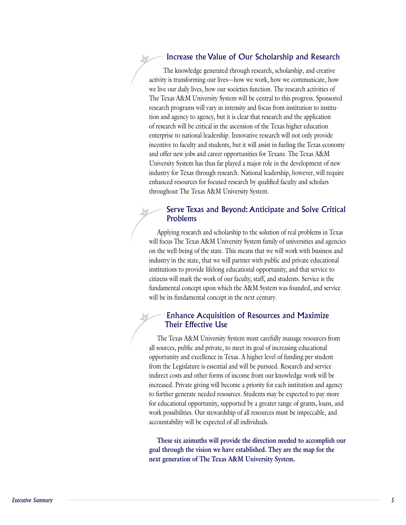#### Increase the Value of Our Scholarship and Research  $\mathcal{L}$  increase one canceler  $\mathbf{c}$  is a societies function. The research activities of

The knowledge generated through research, scholarship, and creative activity is transforming our lives—how we work, how we communicate, how we live our daily lives, how our societies function. The research activities of The Texas A&M University System will be central to this progress. Sponsored tion and agency to agency, but it is clear that research and the application of research will be critical in the ascension of the Texas higher education research programs will vary in intensity and focus from institution to instituenterprise to national leadership. Innovative research will not only provide incentive to faculty and students, but it will assist in fueling the Texas economy and offer new jobs and career opportunities for Texans. The Texas A&M University System has thus far played a major role in the development of new industry for Texas through research. National leadership, however, will require enhanced resources for focused research by qualified faculty and scholars throughout The Texas A&M University System.

#### **– Serve Texas and Beyond: Anticipate and Solve Critical** Problems  $W_{\text{full}}$  $\sim$  the weil-being of the state  $\sim$  the state with business and will work with business and  $\sim$

Applying research and scholarship to the solution of real problems in Texas will focus The Texas A&M University System family of universities and agencies on the well-being of the state. This means that we will work with business and industry in the state, that we will partner with public and private educational institutions to provide lifelong educational opportunity, and that service to citizens will mark the work of our faculty, staff, and students. Service is the fundamental concept upon which the A&M System was founded, and service will be its fundamental concept in the next century.

#### $-$  Enhance Acquisition of Resources and Maximize Their Effective Use  $\overline{\phantom{a}}$  opportunity and excellence in Texas. A higher level of  $\overline{\phantom{a}}$

The Texas A&M University System must carefully manage resources from all sources, public and private, to meet its goal of increasing educational opportunity and excellence in Texas. A higher level of funding per student from the Legislature is essential and will be pursued. Research and service indirect costs and other forms of income from our knowledge work will be increased. Private giving will become a priority for each institution and agency to further generate needed resources. Students may be expected to pay more for educational opportunity, supported by a greater range of grants, loans, and work possibilities. Our stewardship of all resources must be impeccable, and

**These six azimuths will provide the direction needed to accomplish our goal through the vision we have established. They are the map for the next generation of The Texas A&M University System.**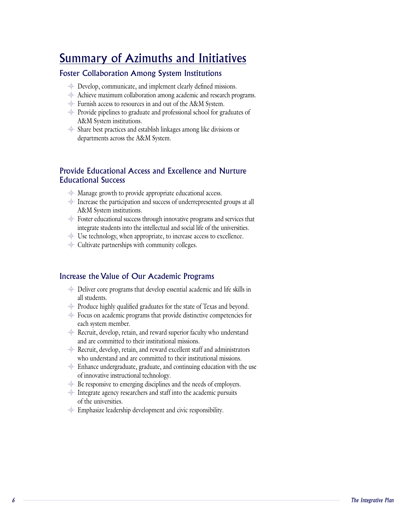# Summary of Azimuths and Initiatives

#### Foster Collaboration Among System Institutions

- $\Phi$  Develop, communicate, and implement clearly defined missions.
- ster Collaboration Among System Institutions<br>  $\begin{array}{c} \Leftrightarrow$  Develop, communicate, and implement clearly defined missions.<br>  $\Leftrightarrow$  Achieve maximum collaboration among academic and research programs. → Develop, communicate, and implement clearly defined missions.<br>→ Achieve maximum collaboration among academic and research program<br>→ Furnish access to resources in and out of the A&M System.<br>→ Provide pipelines to gradua Achieve maximum collabor
- **Example And System Institutions**<br>
↑ Develop, communicate, and implement clearly defined miss<br>
↑ Achieve maximum collaboration among academic and resear<br>
↑ Furnish access to resources in and out of the A&M System.
- A&M System institutions. → Furnish access to resources in and out of the A&M System.<br>
→ Provide pipelines to graduate and professional school for graduate<br>
A&M System institutions.<br>
→ Share best practices and establish linkages among like divisio Provide pipelines to graduate and prof
- departments across the A&M System.

# Provide Educational Access and Excellence and Nurture Educational Success University Increase the participation and success and Executive and Testantiane<br>
∴<br>
∴<br>
∴<br>
⇒ Increase the participation and success of underrepresented groups at all

- $\overline{\phi}$  Manage growth to provide appropriate educational access.
- A&M System institutions. → Manage growth to provide appropriate educational access.<br>
→ Increase the participation and success of underrepresented groups at all<br>
A&M System institutions.<br>
→ Foster educational success through innovative programs an
- integrate students into the intellectual and social life of the universities. A&M System institutions.<br>  $\triangleq$  Foster educational success through innovative programs and services<br>
integrate students into the intellectual and social life of the universitie<br>  $\triangleq$  Use technology, when appropriate, to
- $\ddot{\phi}$  Use technology, when appropriate, to increase access to excellence.<br> $\ddot{\phi}$  Cultivate partnerships with community colleges.
- 

#### Increase the Value of Our Academic Programs all students.

- $\epsilon$  rease the Value of Our Academic Programs<br> $\epsilon$  Deliver core programs that develop essential academic and life skills in the value of Our Academic Frograms<br>
→ Deliver core programs that develop essential academic and life skills in<br>
→ Produce highly qualified graduates for the state of Texas and beyond.  $\leftrightarrow$  Deliver core programs that develop essential academic and life skills in<br>all students.<br> $\leftrightarrow$  Produce highly qualified graduates for the state of Texas and beyond.<br> $\leftrightarrow$  Focus on academic programs that provide distincti all students.
- 
- each system member.  $\diamond$  Produce highly qualified graduates for the state of Texas and beyond.<br>  $\diamond$  Focus on academic programs that provide distinctive competencies fo<br>  $\diamond$  Recruit, develop, retain, and reward superior faculty who understa Focus on academic programs that provide distinci
- and are committed to their institutional missions. each system member.<br>
→ Recruit, develop, retain, and reward superior faculty who understand<br>
and are committed to their institutional missions.<br>
→ Recruit, develop, retain, and reward excellent staff and administrators  $\triangleq$  Recruit, develop, retain, and reward superior faculty who understand
- who understand and are committed to their institutional missions.
- $\overline{\text{ }+}$  Enhance undergraduate, graduate, and continuing education with the use of innovative instructional technology. who understand and are committed to their institutional missions.<br>  $\triangleq$  Enhance undergraduate, graduate, and continuing education with t<br>
of innovative instructional technology.<br>  $\triangleq$  Be responsive to emerging disciplin  $\diamond$  Enhance undergraduate, graduate, and continuing education with<br>of innovative instructional technology.<br> $\lozenge$  Be responsive to emerging disciplines and the needs of employers<br> $\lozenge$  Integrate agency researchers and s
- 
- of the universities.  $\Rightarrow$  Integrate agency researchers and staff into the academic pursuits<br>of the universities.<br> $\Rightarrow$  Emphasize leadership development and civic responsibility.
- ⊕ Emphasize leadership development and civic responsibility.<br> **The Integrative Plan**<br>
6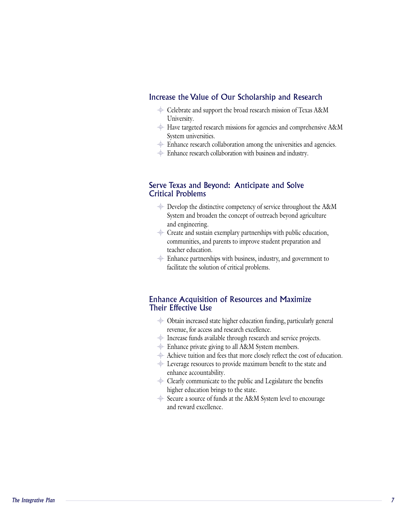## Increase the Value of Our Scholarship and Research  $\epsilon$ rease the Value of Our Scholarship and Research<br> $\div$  Celebrate and support the broad research mission of Texas A&M University.

- University. versity.<br>
⇒ Celebrate and support the broad research mission of Texas A&M<br>
University.<br>
→ Have targeted research missions for agencies and comprehensive A&M  $\div$  Celebrate and support the broad research mission of Texas A&M
- System universities. University.<br>  $\begin{array}{c}\n\text{#} \end{array}$  Have targeted research missions for agencies and comprehensive A&<br>
System universities.<br>  $\begin{array}{c}\n\text{#} \end{array}$  Enhance research collaboration among the universities and agencies.
- $\triangleq$  Enhance research collaboration among the universities and agencies.<br> $\triangleq$  Enhance research collaboration with business and industry.
- 

#### Serve Texas and Beyond: Anticipate and Solve Critical Problems

- $\overline{\text{A}}$  Develop the distinctive competency of service throughout the A&M System and broaden the concept of outreach beyond agriculture and engineering.  $\leftrightarrow$  Develop the distinctive competency of service throughout the A&<br>System and broaden the concept of outreach beyond agriculture<br>and engineering.<br> $\leftrightarrow$  Create and sustain exemplary partnerships with public education,
- communities, and parents to improve student preparation and teacher education.  $\triangleq$  Create and sustain exemplary partnerships with public education,<br>communities, and parents to improve student preparation and<br>teacher education.<br> $\triangleq$  Enhance partnerships with business, industry, and government to
- facilitate the solution of critical problems.

## Enhance Acquisition of Resources and Maximize Their Effective Use France Acquisition of Resources and Maximize<br>
increased state higher education funding, particularly general<br>  $\triangleq$  Obtain increased state higher education funding, particularly general

- revenue, for access and research excellence. → Obtain increased state higher education funding, particularly ge<br>revenue, for access and research excellence.<br>→ Increase funds available through research and service projects.  $\leftrightarrow$  Obtain increased state higher education funding, parti-<br>revenue, for access and research excellence.<br> $\leftrightarrow$  Increase funds available through research and service<br> $\leftrightarrow$  Enhance private giving to all A&M System members.
- 
- $\triangleq$  Enhance private giving to all A&M System members.
- Free tuition and feeducation and service projects.<br>
→ Increase funds available through research and service projects.<br>
→ Enhance private giving to all A&M System members.<br>
→ Achieve tuition and fees that more closely refl
- → Increase funds available through research and service projects.<br>
→ Enhance private giving to all A&M System members.<br>
→ Achieve tuition and fees that more closely reflect the cost of educ<br>
→ Leverage resources to provi enhance accountability.  $\begin{array}{c}\n\textcircled{+} & \text{Achieve tuition and fees that more closely reflect the cost of edu \\
\textcircled{+} & \text{Leverage resources to provide maximum benefit to the state and\n\end{array}$ <br>  $\begin{array}{c}\n\textcircled{+} & \text{Clearly communicate to the public and Legislature the benefits}\n\end{array}$  $\overline{\text{ }+}$  Leverage resources to provide maximum benefit to the state and
- higher education brings to the state.  $\triangleq$  Clearly communicate to the public and Legislature the benefits
- $\frac{1}{2}$  $\overline{\text{}^+}$  Secure a source of funds at the A&M System level to encourage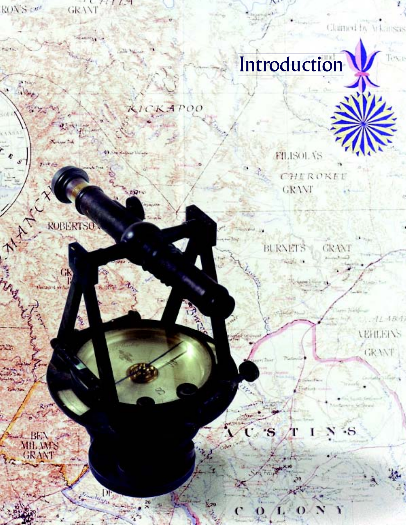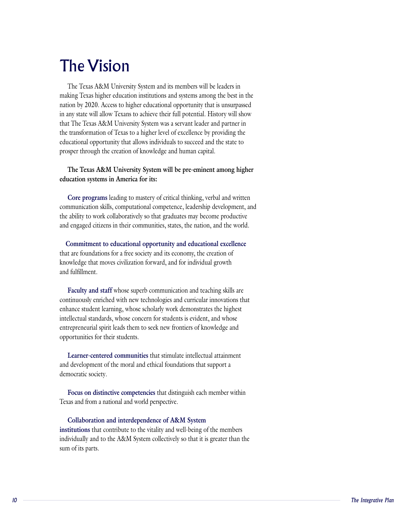#### $T \sim T$ The Vision institution institutions and systems and systems and systems are  $T$

making Texas higher education institutions and systems among the best in the nation by 2020. Access to higher educational opportunity that is unsurpassed The Texas A&M University System and its members will be leaders in the transformation of Texas to a higher level of excellence by providing the in any state will allow Texans to achieve their full potential. History will show educational opportunity that allows individuals to succeed and the state to that The Texas A&M University System was a servant leader and partner in prosper through the creation of knowledge and human capital.

## **The Texas A&M University System will be pre-eminent among higher**  education systems in America for its: The Texas A&M University System will be pre-eminent among higher<br>education systems in America for its:<br>Core programs leading to mastery of critical thinking, verbal and written

communication skills, computational competence, leadership development, and the ability to work collaboratively so that graduates may become productive and engaged citizens in their communities, states, the nation, and the world.

**Commitment to educational opportunity and educational excellence** t are foundations for a free society and its economy, the creation of knowledge that moves civilization forward, and for individual growth knowledge that moves civilization forward, and for individual growth<br>and fulfillment.<br>**Faculty and staff** whose superb communication and teaching skills are and fulfillment.

continuously enriched with new technologies and curricular innovations that enhance student learning, whose scholarly work demonstrates the highest intellectual standards, whose concern for students is evident, and whose entrepreneurial spirit leads them to seek new frontiers of knowledge and opportunities for their students.

**Learner-centered communities** that stimulate intellectual attainment and development of the moral and ethical foundations that support a democratic society.

**Focus on distinctive competencies** that distinguish each member within Texas and from a national and world perspective.

**The Integrative Plance of A&M System**<br> **The Integrative Plance of A&M System collectively so that it is greater than the**<br> **The Integrative Plance of The Integrative Plance of the A&M System collectively so that it is gre Collaboration and interdependence of A&M System institutions** that contribute to the vitality and well-being of the members individually and to the A&M System collectively so that it is greater than the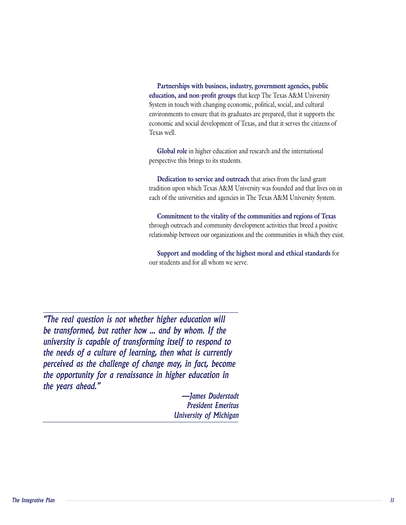Partnerships with business, industry, government agencies, public Partnerships with business, industry, government agencies, public<br>education, and non-profit groups that keep The Texas A&M University System in touch with changing economic, political, social, and cultural environments to ensure that its graduates are prepared, that it supports the economic and social development of Texas, and that it serves the citizens of Texas well.

**Global role** in higher education and research and the international perspective this brings to its students. Global role in higher education and research and the international<br>perspective this brings to its students.<br>Dedication to service and outreach that arises from the land-grant

tradition upon which Texas A&M University was founded and that lives on in through outreach and agencies in The Texas A&M University System.

Commitment to the vitality of the communities and regions of Texas *perceived a perceived as through outreach and community development activities that breed a positive* bugh outreach and community development activities that breed a positive tionship between our organizations and the communities in which they exis<br>Support and modeling of the highest moral and ethical standards for relationship between our organizations and relationship for a renail

our students and for all whom we serve.

"The real question is not whether higher education will be transformed, but rather how ... and by whom. If the university is capable of transforming itself to respond to the needs of a culture of learning, then what is currently perceived as the challenge of change may, in fact, become the opportunity for a renaissance in higher education in the years ahead."

 *<sup>11</sup>* -James Duderstadt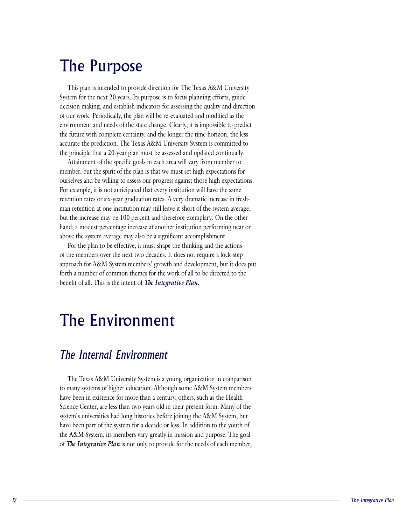#### The Purpose The Team System for the next 20 years. Its purpose is to focus planning efforts, guide planning efforts, guideling efforts, guideling efforts, guideling efforts, guideling efforts, guideling efforts, guideling efforts, guideling ef

This plan is intended to provide direction for The Texas A&M University System for the next 20 years. Its purpose is to focus planning efforts, guide decision making, and establish indicators for assessing the quality and direction environment and needs of the state change. Clearly, it is impossible to predict future with complete certainty, and the longer the time horizon, the less of our work. Periodically, the plan will be re-evaluated and modified as the accurate the prediction. The Texas A&M University System is committed to the principle that a 20-year plan must be assessed and updated continually.

Attainment of the specific goals in each area will vary from member to return returns return rates or six-year graduation rates. A very dramatic increase in the Internal Environment<br>*The Internal Environment in a second our programs around* these high expectation ourselves and be willing to assess our progress against those high expectations. man retention at one institution may still leave it short of the system average, For example, it is not anticipated that every institution will have the same the increase may be  $100$  percent and therefore exemplary. On the other retention rates or six-year graduation rates. A very dramatic increase in freshhand, a modest percentage increase at another institution performing near or above the system average may also be a significant accomplishment.

For the plan to be effective, it must shape the thinking and the actions of the members over the next two decades. It does not require a lock-step approach for A&M System members' growth and development, but it does put decades. It does not rears' growth and develogies for the work of all to *The Integrative Plan*.

# The Environment

#### The Internal Environment  $\frac{1}{2}$

Figure 1. The Integrative Plan is not only to provide for the needs of each member,<br> *The Integrative Plan* is not only to provide for the specifical of the poster. The specific of the A&M System, its members vary greatly have been in existence for more than a century, others, such as the Health The Texas A&M University System is a young organization in comparison Science Center, are less than two years old in their present form. Many of the to many systems of higher education. Although some A&M System members have been part of the system for a decade or less. In addition to the youth of system's universities had long histories before joining the A&M System, but the A&M System, its members vary greatly in mission and purpose. The goal<br>of **The Integrative Plan** is not only to provide for the needs of each member,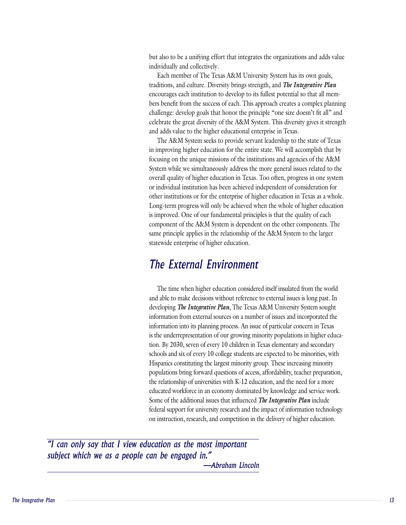but also to be a unifying effort that integrates the organizations and adds value individually and collectively.

bers benefit from the success of the Texas A&M University System has its own goals, traditions, and culture. Diversity brings strength, and *The Integrative Plan* bers benefit from the success of each. This approach creates a complex planning. Ilenge: develop goals that honor the principle "one size doesn't fit all" and encourages each institution to develop to its fullest potential so that all memcelebrate the great diversity of the A&M System. This diversity gives it strength and adds value to the higher educational enterprise in Texas.

The A&M System seeks to provide servant leadership to the state of Texas in improving higher education for the entire state. We will accomplish that by focusing on the unique missions of the institutions and agencies of the A&M System while we simultaneously address the more general issues related to the overall quality of higher education in Texas. Too often, progress in one system or individual institution has been achieved independent of consideration for other institutions or for the enterprise of higher education in Texas as a whole. Long-term progress will only be achieved when the whole of higher education is improved. One of our fundamental principles is that the quality of each component of the A&M System is dependent on the other components. The same principle applies in the relationship of the A&M System to the larger statewide enterprise of higher education.

#### The External Environment and able to make  $\mathcal{L}$  make  $\mathcal{L}$  is local issues is long part. In the subset of  $\mathcal{L}$

The time when higher education considered itself insulated from the world and able to make decisions without reference to external issues is long past. In The time when higher education considered itself insulated from the world<br>and able to make decisions without reference to external issues is long past. In<br>developing *The Integrative Plan*, The Texas A&M University System information from external sources on a number of issues and incorporated the information into its planning process. An issue of particular concern in Texas tion. By 2030, seven of every 10 children in Texas elementary and secondary schools and six of every 10 college students are expected to be minorities, with is the underrepresentation of our growing minority populations in higher educa-Hispanics constituting the largest minority group. These increasing minority populations bring forward questions of access, affordability, teacher preparation, educated worktorce in an economy dominated by knowledge and service work. *Frequending Figure 2013, attordability, teacher prepara*<br>*The Integrative Plan* include<br>*The Integrative Plan* include the relationship of universities with K-12 education, and the need for a more federal support for university research and the impact of information technology on instruction, research, and competition in the delivery of higher education.

federal support for university research and the impact of information technology<br>on instruction, research, and competition in the delivery of higher education.<br>**13**<br>**13**<br>**13**<br>**13**<br>**13**<br>**13** "I can only say that I view education as the most important subject which we as a people can be engaged in."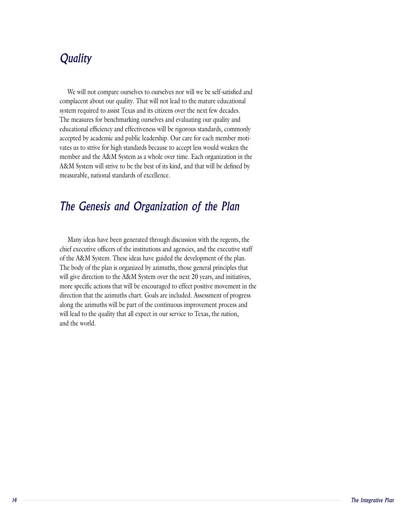#### Quality where  $\frac{1}{2}$

We will not compare ourselves to ourselves nor will we be self-satisfied and complacent about our quality. That will not lead to the mature educational system required to assist Texas and its citizens over the next few decades. The measures for benchmarking ourselves and evaluating our quality and educational efficiency and effectiveness will be rigorous standards, commonly vates us to strive for high standards because to accept less would weaken the member and the A&M System as a whole over time. Each organization in the accepted by academic and public leadership. Our care for each member moti-A&M System will strive to be the best of its kind, and that will be defined by

# $\mathcal{M}$  converse through discussion through discussion with the region  $\mathcal{M}$

Many ideas have been generated through discussion with the regents, the chief executive officers of the institutions and agencies, and the executive staff of the A&M System. These ideas have guided the development of the plan. The body of the plan is organized by azimuths, those general principles that will give direction to the A&M System over the next 20 years, and initiatives, more specific actions that will be encouraged to effect positive movement in the direction that the azimuths chart. Goals are included. Assessment of progress along the azimuths will be part of the continuous improvement process and will lead to the quality that all expect in our service to Texas, the nation, and the world.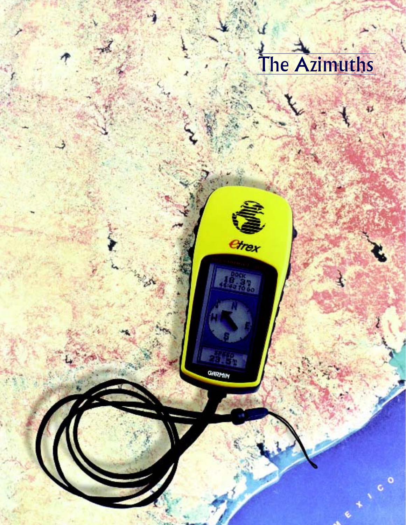# The Azimuths

43

Ł

¢

GARMIN

etrex

152

*The Integrative Plan*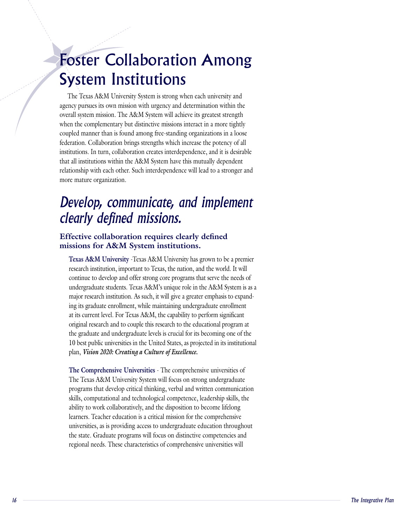# Foster Collaboration Among agency pursues its own mission with urgency and determination within the System Institutions

The Texas A&M University System is strong when each university and agency pursues its own mission with urgency and determination within the overall system mission. The A&M System will achieve its greatest strength when the complementary but distinctive missions interact in a more tightly coupled manner than is found among free-standing organizations in a loose federation. Collaboration brings strengths which increase the potency of all institutions. In turn, collaboration creates interdependence, and it is desirable that all institutions within the A&M System have this mutually dependent relationship with each other. Such interdependence will lead to a stronger and more mature organization.

# Develop, communicate, and implement clearly defined missions.

#### **Effective collaboration requires clearly defined missions for A&M System institutions. Tective collaboration requires clearly defined**<br>ssions for A&M System institutions.<br>Texas A&M University -Texas A&M University has grown to be a premier  $\frac{1}{2}$  continue to develop and  $\frac{1}{2}$  server strong core programs that server that server that server the needs of  $\frac{1}{2}$

research institution, important to Texas, the nation, and the world. It will continue to develop and offer strong core programs that serve the needs of undergraduate students. Texas A&M's unique role in the A&M System is as a ing its graduate enrollment, while maintaining undergraduate enrollment at its current level. For Texas A&M, the capability to perform significant major research institution. As such, it will give a greater emphasis to expandoriginal research and to couple this research to the educational program at the graduate and undergraduate levels is crucial for its becoming one of the 10 best public universities in the United States, as projected in its institutional plan, *Vision 2020: Creating a Culture of Excellence*. 10 best public universities in the United States, as projected in its institution<br>plan, *Vision 2020: Creating a Culture of Excellence*.<br>The Comprehensive Universities - The comprehensive universities of

Framers. Teacher education is a critical mission for the comprehensive<br>
learners. Teacher education is a critical mission for the comprehensive<br>
universities, as is providing access to undergraduate education throughout<br>
t The Texas A&M University System will focus on strong undergraduate programs that develop critical thinking, verbal and written communication skills, computational and technological competence, leadership skills, the ability to work collaboratively, and the disposition to become lifelong universities, as is providing access to undergraduate education throughout the state. Graduate programs will focus on distinctive competencies and learners. Teacher education is a critical mission for the comprehensive regional needs. These characteristics of comprehensive universities will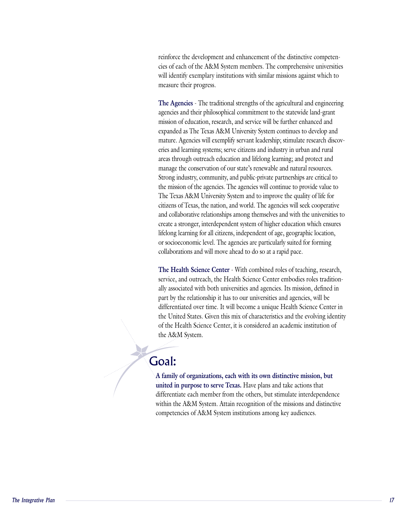cies of each of the A&M System members. The comprehensive universities will identify exemplary institutions with similar missions against which to reinforce the development and enhancement of the distinctive competenmeasure their progress. will identify exemplary institutions with similar missions against which to<br>measure their progress.<br>**The Agencies** - The traditional strengths of the agricultural and engineering

agencies and their philosophical commitment to the statewide land-grant mission of education, research, and service will be further enhanced and expanded as The Texas A&M University System continues to develop and eries and learning systems; serve citizens and industry in urban and rural areas through outreach education and lifelong learning; and protect and mature. Agencies will exemplify servant leadership; stimulate research discovmanage the conservation of our state's renewable and natural resources. Strong industry, community, and public-private partnerships are critical to the mission of the agencies. The agencies will continue to provide value to The Texas A&M University System and to improve the quality of life for citizens of Texas, the nation, and world. The agencies will seek cooperative and collaborative relationships among themselves and with the universities to create a stronger, interdependent system of higher education which ensures lifelong learning for all citizens, independent of age, geographic location, or socioeconomic level. The agencies are particularly suited for forming collaborations and will move ahead to do so at a rapid pace. or socioeconomic level. The agencies are particularly suited for forming<br>collaborations and will move ahead to do so at a rapid pace.<br>**The Health Science Center** - With combined roles of teaching, research,

service, and outreach, the Health Science Center embodies roles traditionally associated with both universities and agencies. Its mission, defined in part by the relationship it has to our universities and agencies, will be differentiated over time. It will become a unique Health Science Center in the United States. Given this mix of characteristics and the evolving identity of the Health Science Center, it is considered an academic institution of the A&M System.

#### $\alpha$ differentiate each member from the others, but stimulate interdependence interdependence interdependence Goal:

competencies of A&M System institutions among key audiences. A family of organizations, each with its own distinctive mission, but **iOal:**<br>A family of organizations, each with its own distinctive mission, l<br>united in purpose to serve Texas. Have plans and take actions that differentiate each member from the others, but stimulate interdependence within the A&M System. Attain recognition of the missions and distinctive competencies of A&M System institutions among key audiences.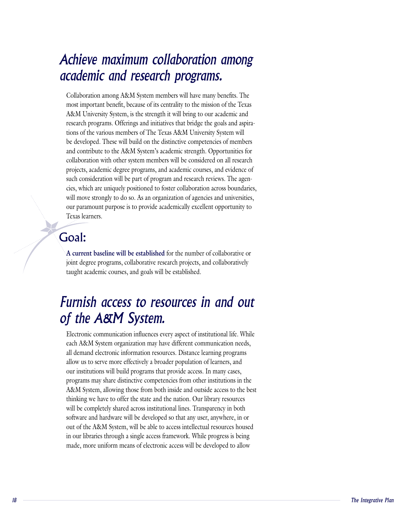## Achieve maximum collaboration among Collaboration among A&M System members will have many benefits. The most important benefit, because of its centrality to the mission of the Texas *Furnish access to resources in and out*

Collaboration among A&M System members will have many benefits. The<br>most important benefit, because of its centrality to the mission of the Texas. most important benefit, because of its centrality to the mission of the Texas A&M University System, is the strength it will bring to our academic and tions of the various members of The Texas A&M University System will be developed. These will build on the distinctive competencies of members research programs. Offerings and initiatives that bridge the goals and aspiraand contribute to the A&M System's academic strength. Opportunities for collaboration with other system members will be considered on all research projects, academic degree programs, and academic courses, and evidence of cies, which are uniquely positioned to foster collaboration across boundaries, will move strongly to do so. As an organization of agencies and universities, such consideration will be part of program and research reviews. The agenour paramount purpose is to provide academically excellent opportunity to Texas learners.

# joint degree programs, collaborative research projects, and collaboratively Goal:

**A current baseline will be established** for the number of collaborative or joint degree programs, collaborative research projects, and collaboratively taught academic courses, and goals will be established.

## f the  $A\&M$  System. Furnish access to resources in and out  $\mathcal{L}$  and  $\mathcal{L}$  and  $\mathcal{L}$  resources. Distance learning programs programs programs programs programs programs programs  $\mathcal{L}$

will be completely shared across institutional lines. I ransparency in both<br>software and hardware will be developed so that any user, anywhere, in or<br>out of the A&M System, will be able to access intellectual resources hou Electronic communication influences every aspect of institutional life. While each A&M System organization may have different communication needs, all demand electronic information resources. Distance learning programs our institutions will build programs that provide access. In many cases, programs may share distinctive competencies from other institutions in the allow us to serve more effectively a broader population of learners, and A&M System, allowing those from both inside and outside access to the best thinking we have to offer the state and the nation. Our library resources will be completely shared across institutional lines. Transparency in both software and hardware will be developed so that any user, anywhere, in or out of the A&M System, will be able to access intellectual resources housed in our libraries through a single access framework. While progress is being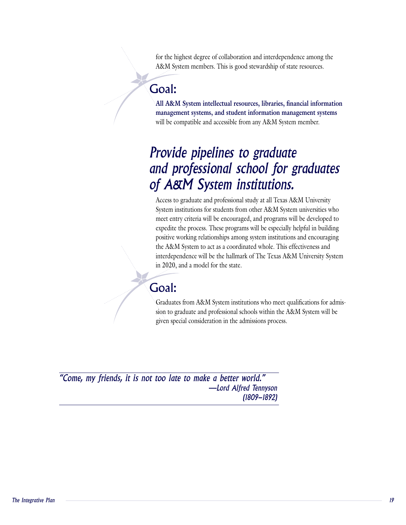for the highest degree of collaboration and interdependence among the A&M System members. This is good stewardship of state resources.

#### will be compatible and accessible and accessible from any  $A$ Goal:

**All A&M System intellectual resources, libraries, financial information management systems, and student information management systems** will be compatible and accessible from any A&M System member.

## Provide pipelines to graduate  $\mu$ araches to graduate and professional study and  $\mu$ f A&M System institutions.  $\mathcal{L}$  is the entry criteria will be denoted the developed to denote the developed to develop to develop to  $\mathcal{L}$

Access to graduate and professional study at all Texas A&M University System institutions for students from other A&M System universities who meet entry criteria will be encouraged, and programs will be developed to expedite the process. These programs will be especially helpful in building positive working relationships among system institutions and encouraging the A&M System to act as a coordinated whole. This effectiveness and interdependence will be the hallmark of The Texas A&M University System *l* for the state.

#### sion to graduate and professional schools with the A&M System will be Goal:  $\frac{1}{2}$ special consideration in the admissions process.

Graduates from A&M System institutions who meet qualifications for admission to graduate and professional schools within the A&M System will be given special consideration in the admissions process.

 $\mathcal{L}$  as a metal system institutions who meet  $\mathcal{L}$ 

"Come, my friends, it is not too late to make a better world." -Lord Alfred Tennyson  $(1809 - 1892)$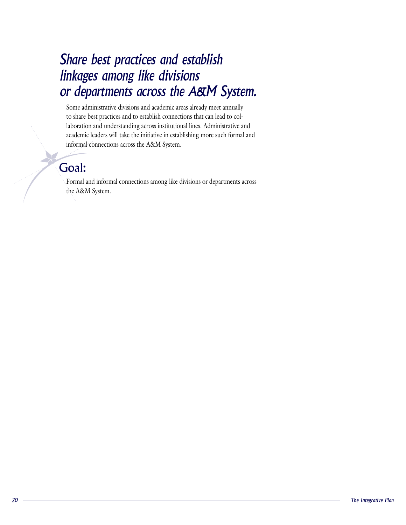## Share best practices and establish  $m$ ugus amviis meeting aand academic areas and according  $m$ r departments across the A&M System laboration and understanding accounts in the second lines. Adjustment of  $\frac{1}{2}$

Some administrative divisions and academic areas already meet annually laboration and understanding across institutional lines. Administrative and academic leaders will take the initiative in establishing more such formal and to share best practices and to establish connections that can lead to colinformal connections across the A&M System.

# Goal:

**STEP** 

Formal and informal connections among like divisions or departments across the A&M System.

For mal and informal connections among like divisions among like divisions among like divisions and  $\alpha$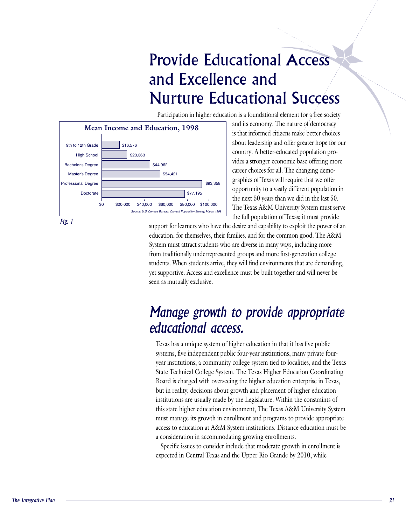## Provide Educational Access and Excellence and **Nurture Educational Success** Participation in higher education is a foundational element for a free society  $\frac{1}{\sqrt{2}}$

about **leader the conduction of the state of the state of the state for a free society**<br>Participation in higher education is a foundational element for a free society



and its economy. The nature of democracy is that informed citizens make better choices about leadership and offer greater hope for our vides a stronger economic base offering more country. A better-educated population prographics of Texas will require that we offer opportunity to a vastly different population in career choices for all. The changing demo- $\epsilon$  too,  $\epsilon$  the selves of the common section and for the Coral Section government good. The Texas A&M University System must serve students who are diverse in the full population of Texas; it must provide support for learners who have the desire and capability to exploit the power of an

support for learners who have the desire and capability to exploit the power of an education, for themselves, their families, and for the common good. The A&M System must attract students who are diverse in many ways, including more from traditionally underrepresented groups and more first-generation college students. When students arrive, they will find environments that are demanding, yet supportive. Access and excellence must be built together and will never be seen as mutually exclusive.

## Tang a grown to proviat appropriate educational access. year institutions, a community college system ties of localities, and the Texas system ties, and the Texas system ties, and the Texas system ties, and the Texas system ties, and the Texas system ties, and the Texas system

this state higher education environment, The Texas A&M University System<br>must manage its growth in enrollment and programs to provide appropriate<br>access to education at A&M System institutions. Distance education must be<br>a Texas has a unique system of higher education in that it has five public year institutions, a community college system tied to localities, and the Texas State Technical College System. The Texas Higher Education Coordinating systems, five independent public four-year institutions, many private four-Board is charged with overseeing the higher education enterprise in Texas, but in reality, decisions about growth and placement of higher education institutions are usually made by the Legislature. Within the constraints of this state higher education environment, The Texas A&M University System must manage its growth in enrollment and programs to provide appropriate access to education at A&M System institutions. Distance education must be

Specific issues to consider include that moderate growth in enrollment is expected in Central Texas and the Upper Rio Grande by 2010, while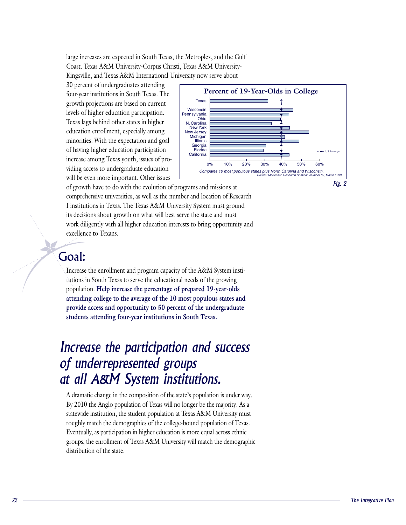large increases are expected in South Texas, the Metroplex, and the Gulf Kingsville, and Texas A&M International University now serve about Coast. Texas A&M University-Corpus Christi, Texas A&M University-

30 percent of undergraduates attending. four-year institutions in South Texas. The growth projections are based on current levels of higher education participation. Texas lags behind other states in higher I'dexas lags behind other states in higher<br> **Increase the participation and success**<br> *I* New York<br>
New Versey minorities. With the expectation and goal of having higher education participation viding access to undergraduate education  $\Box$  compares 10 most populous s will be even more important. Other issues Lattitudinal must generally system must generally system must general of having higher valued by participation of processes among Texas youth, issues of processes and many system in





of growth have to do with the evolution of programs and missions at comprehensive universities, as well as the number and location of Research I institutions in Texas. The Texas A&M University System must ground its decisions about growth on what will best serve the state and must work diligently with all higher education interests to bring opportunity and excellence to Texans.

Increase the enrollment and program capacity of the A&M System insti-

#### $\theta$  the educations in South Texas to serve the education  $\theta$ Goal:

Increase the enrollment and program capacity of the A&M System instifutions in South Texas to serve the educational needs of the growing **Help increase the percentage of prepared 19-year-olds attending college to the average of the 10 most populous states and provide access and opportunity to 50 percent of the undergraduate students attending four-year institutions in South Texas.**

## Increase the participation and success J dramatic change in the composition of the state  $\boldsymbol{s}$ t all A&M System institutions. state institution, the student population at Texas A&M University must be a Texas A&M University must be a Texas

Fractivide institution, the student population at Texas A&M University must<br> *Toughly match the demographics of the college-bound population of Texas.*<br> *Eventually, as participation in higher education is more equal acros* A dramatic change in the composition of the state's population is under way. By 2010 the Anglo population of Texas will no longer be the majority. As a statewide institution, the student population at Texas A&M University must roughly match the demographics of the college-bound population of Texas. Eventually, as participation in higher education is more equal across ethnic groups, the enrollment of Texas A&M University will match the demographic distribution of the state.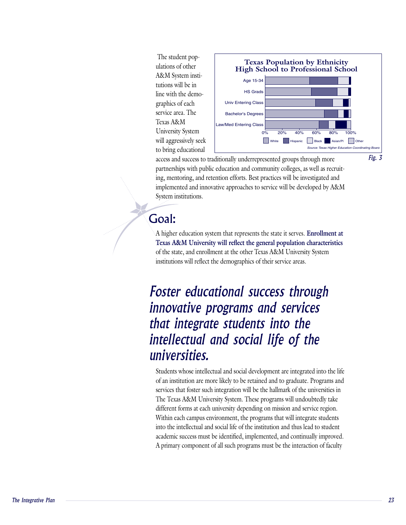ulations of other The student pop-A&M System instiservice area. The line with the demo-Texas A&M



access and success to traditionally underrepresented groups through more partnerships with public education and community colleges, as well as recruiting, mentoring, and retention efforts. Best practices will be investigated and implemented and innovative approaches to service will be developed by A&M System institutions.

A higher education system that represents the state it serves.

#### $\sim$  state, and enrollment at the other Texas A $\sim$ Goal:

A higher education system that represents the state it serves. **Enrollment at Texas A&M University will reflect the general population characteristics** of the state, and enrollment at the other Texas A&M University System institutions will reflect the demographics of their service areas.

# **Foster educational success through** innovative programs and services that integrate students into the  $\mu$ udentual and social hje of the  $\mu$ universities. services that foster such integration will be the university integration will be the university integration of

different forms at each university depending on mission and service region.<br>
Within each campus environment, the programs that will integrate students<br>
into the intellectual and social life of the institution and thus lead Students whose intellectual and social development are integrated into the life of an institution are more likely to be retained and to graduate. Programs and services that foster such integration will be the hallmark of the universities in The Texas A&M University System. These programs will undoubtedly take different forms at each university depending on mission and service region. Within each campus environment, the programs that will integrate students into the intellectual and social life of the institution and thus lead to student academic success must be identified, implemented, and continually improved. A primary component of all such programs must be the interaction of faculty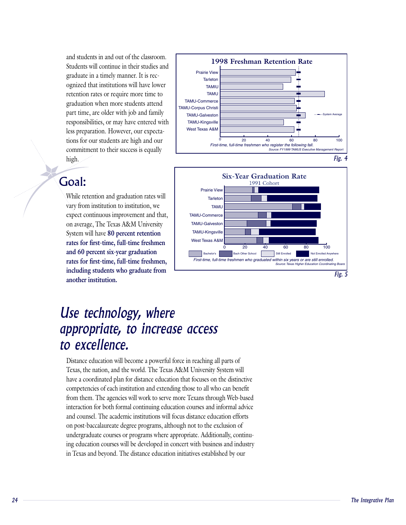and students in and out of the classroom. Students will continue in their studies and ognized that institutions will have lower refention rates or require more time to graduate in a timely manner. It is recgraduation when more students attend graduation when more students attend<br>
part time, are older with job and family responsibilities, or may have entered with<br>less preparation. However, our expectations for our students are high and our commitment to their success is equally less preparation. However, our expectahigh.

While retention and graduation returns with an and graduation rates with an and graduate structure of the structure of the structure of the structure of the structure of the structure of the structure of the structure of t

#### **variant institution to institution**, we Goal:  $\epsilon$  continuous improvement and that,  $\epsilon$

While retention and graduation rates will expect continuous improvement and that, on average, The Texas A&M University vary from institution to institution, we System will have 80 percent retention **rates for first-time, full-time freshmen and 60 percent six-year graduation rates for first-time, full-time freshmen, including students who graduate from another institution.**





## Use technology, where  $p$ pidistance education will be a powerful force in reaching a powerful  $p$  $\sigma$  excellence. The world. The world. The will be will be will be will be  $\sigma$  $\mathbf{r}$  coordinated plan for distance education that for distinctive education that for distinctive education that for distinctive education that for distinctive education  $\mathbf{r}$

Interaction for both formal continuing culculator courses and miorina advice<br>and counsel. The academic institutions will focus distance education efforts<br>on post-baccalaureate degree programs, although not to the exclusion Distance education will become a powerful force in reaching all parts of Texas, the nation, and the world. The Texas A&M University System will have a coordinated plan for distance education that focuses on the distinctive competencies of each institution and extending those to all who can benefit from them. The agencies will work to serve more Texans through Web-based interaction for both formal continuing education courses and informal advice. and counsel. The academic institutions will focus distance education efforts on post-baccalaureate degree programs, although not to the exclusion of ing education courses will be developed in concert with business and industry in Texas and beyond. The distance education initiatives established by our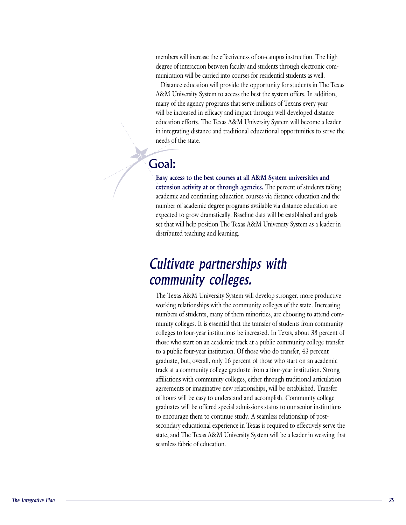members will increase the effectiveness of on-campus instruction. The high<br>degree of interaction between faculty and students through electronic communication will be carried into courses for residential students as well. degree of interaction between faculty and students through electronic com-

Distance education will provide the opportunity for students in The Texas A&M University System to access the best the system offers. In addition, many of the agency programs that serve millions of Texans every year will be increased in efficacy and impact through well-developed distance education efforts. The Texas A&M University System will become a leader in integrating distance and traditional educational opportunities to serve the

#### academic and continuing education courses via distance education and the Goal:

Easy access to the best courses at all A&M System universities and **iOAI:**<br>Easy access to the best courses at all A&M System universities and<br>extension activity at or through agencies. The percent of students taking academic and continuing education courses via distance education and the number of academic degree programs available via distance education are expected to grow dramatically. Baseline data will be established and goals set that will help position The Texas A&M University System as a leader in distributed teaching and learning.

## $T$ uluvult purullisinys will  $T$ ommunity colleges. With the state of the state  $\sim$  $\frac{1}{\sqrt{2}}$  of the minority of the minority to attend com-

graduates win be offered special admissions status to our senion institutions<br>to encourage them to continue study. A seamless relationship of post-<br>secondary educational experience in Texas is required to effectively serve The Texas A&M University System will develop stronger, more productive working relationships with the community colleges of the state. Increasing munity colleges. It is essential that the transfer of students from community colleges to four-year institutions be increased. In Texas, about 38 percent of numbers of students, many of them minorities, are choosing to attend comthose who start on an academic track at a public community college transfer to a public four-year institution. Of those who do transfer, 43 percent graduate, but, overall, only 16 percent of those who start on an academic track at a community college graduate from a four-year institution. Strong affiliations with community colleges, either through traditional articulation agreements or imaginative new relationships, will be established. Transfer of hours will be easy to understand and accomplish. Community college graduates will be offered special admissions status to our senior institutions secondary educational experience in Texas is required to effectively serve the state, and The Texas A&M University System will be a leader in weaving that to encourage them to continue study. A seamless relationship of post-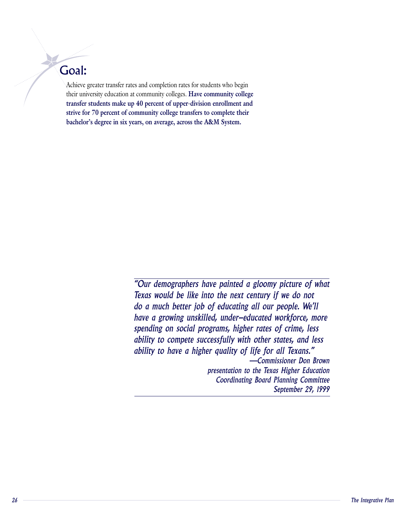# the university education at community colleges. Goal:

Achieve greater transfer rates and completion rates for students who begin their university education at community colleges. Have community college **transfer students make up 40 percent of upper-division enrollment and strive for 70 percent of community college transfers to complete their bachelor's degree in six years, on average, across the A&M System.**

 $A^{\mu\nu}$ eve greater transfer rates and completion rates for students who begin begin begin begin begin begin begin begin begin begin begin begin begin begin begin begin begin begin begin begin begin begin begin begin beg

"Our demographers have painted a gloomy picture of what Texas would be like into the next century if we do not do a much better job of educating all our people. We'll have a growing unskilled, under-educated workforce, more spending on social programs, higher rates of crime, less ability to compete successfully with other states, and less ability to have a higher quality of life for all Texans." -Commissioner Don Brown presentation to the Texas Higher Education **Coordinating Board Planning Committee** September 29, 1999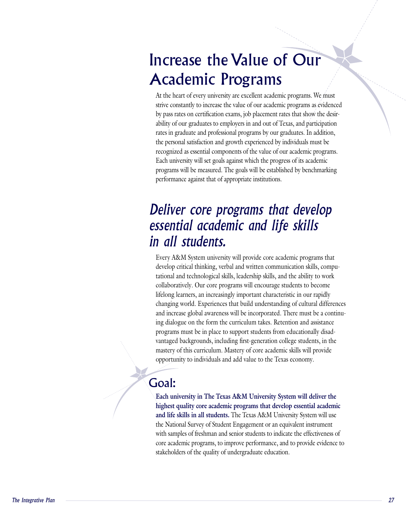#### Increase the Value of Our Academic Programs and value of our academic programs as  $\mathbb{R}^n$ At the heart of every university are excellent academic programs. We must by pass rates on certification exams, job placement rates that show the desir-

At the heart of every university are excellent academic programs. We must ability of our graduates to employers in and out of Texas, and participation strive constantly to increase the value of our academic programs as evidenced rates in graduate and professional programs by our graduates. In addition, by pass rates on certification exams, job placement rates that show the desirthe personal satisfaction and growth experienced by individuals must be recognized as essential components of the value of our academic programs. Each university will set goals against which the progress of its academic programs will be measured. The goals will be established by benchmarking performance against that of appropriate institutions.

## Deliver core programs that develop Bochtiai academic and nje brind in all students.  $t_{\rm max}$  and technological skills, and the ability to work the ability to work the ability to work the ability to work the ability to work the ability to work the ability to work the ability to work the ability to work th

Every A&M System university will provide core academic programs that develop critical thinking, verbal and written communication skills, computational and technological skills, leadership skills, and the ability to work collaboratively. Our core programs will encourage students to become lifelong learners, an increasingly important characteristic in our rapidly changing world. Experiences that build understanding of cultural differences and increase global awareness will be incorporated. There must be a continuing dialogue on the form the curriculum takes. Retention and assistance programs must be in place to support students from educationally disadvantaged backgrounds, including first-generation college students, in the mastery of this curriculum. Mastery of core academic skills will provide opportunity to individuals and add value to the Texas economy.

# Goal:

and life skills in all students. The Texas A&M University System will use<br>and life skills in all students. The Texas A&M University System will use<br>the National Survey of Student Engagement or an equivalent instrument<br>with **Each university in The Texas A&M University System will deliver the** highest quality core academic programs that develop essential academic Each university in The Texas A&M University System will deliver the highest quality core academic programs that develop essential academic and life skills in all students. The Texas A&M University System will use the National Survey of Student Engagement or an equivalent instrument with samples of freshman and senior students to indicate the effectiveness of core academic programs, to improve performance, and to provide evidence to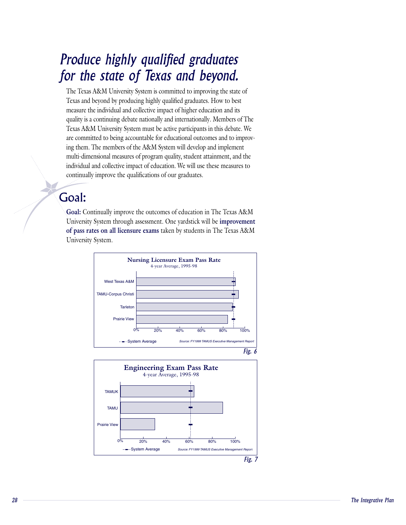## Tourice The  $\eta$  is computed to include the state of  $\eta$ or the state of Texas and beyond. measure the individual and collective impact of  $\frac{1}{2}$

The Texas A&M University System is committed to improving the state of Texas and beyond by producing highly qualified graduates. How to best measure the individual and collective impact of higher education and its quality is a continuing debate nationally and internationally. Members of The Texas A&M University System must be active participants in this debate. We ing them. The members of the A&M System will develop and implement multi-dimensional measures of program quality, student attainment, and the are committed to being accountable for educational outcomes and to improvindividual and collective impact of education. We will use these measures to continually improve the qualifications of our graduates.

# University System through assessment. One yardstick will be Goal:

**COAL:**<br> **Goal:** Continually improve the outcomes of education in The Texas A&M **improvement Goal:** Continually improve the outcomes of education in The Texas A&M<br>University System through assessment. One yardstick will be **improvement**<br>of pass rates on all licensure exams taken by students in The Texas A&M University System.



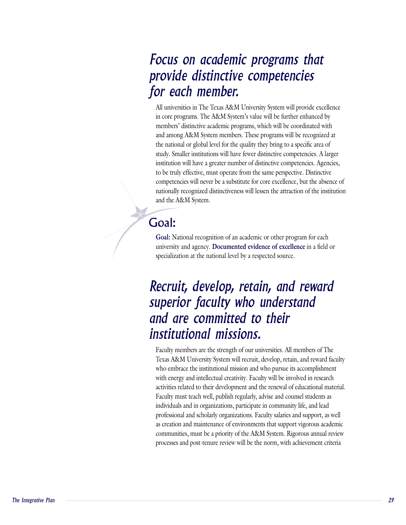# All universities in The Texas A&M University System will provide excellence *superior faculty who understand*or each member. The A&M System's value will be functional by  $\mathcal{S}$ members' distinctive academic programs, which will be coordinated with *and are committed to theirRecruit, develop, retain, and reward*

All universities in The Texas A&M University System will provide excellence All universities in The Texas A&M University System will provide excelle<br>in core programs. The A&M System's value will be further enhanced by members' distinctive academic programs, which will be coordinated with and among A&M System members. These programs will be recognized at the national or global level for the quality they bring to a specific area of study. Smaller institutions will have fewer distinctive competencies. A larger institution will have a greater number of distinctive competencies. Agencies, to be truly effective, must operate from the same perspective. Distinctive competencies will never be a substitute for core excellence, but the absence of nationally recognized distinctiveness will lessen the attraction of the institution and the A&M System.

#### Goal:  $s_{\rm max}$

**Goal:** National recognition of an academic or other program for each **Documented evidence of excellence** in a field or specialization at the national level by a respected source.

# Recruit, develop, retain, and reward superior faculty who understand and are committed to their institutional missions. where the institutional mission and who pursue its accomplishment  $\mathcal{L}$

professional and scholarly organizations. Faculty salaries and support, as well<br>professional and scholarly organizations. Faculty salaries and support, as well<br>as creation and maintenance of environments that support vigor Faculty members are the strength of our universities. All members of The Texas A&M University System will recruit, develop, retain, and reward faculty with energy and intellectual creativity. Faculty will be involved in research activities related to their development and the renewal of educational material. who embrace the institutional mission and who pursue its accomplishment Faculty must teach well, publish regularly, advise and counsel students as individuals and in organizations, participate in community life, and lead professional and scholarly organizations. Faculty salaries and support, as well as creation and maintenance of environments that support vigorous academic communities, must be a priority of the A&M System. Rigorous annual review processes and post-tenure review will be the norm, with achievement criteria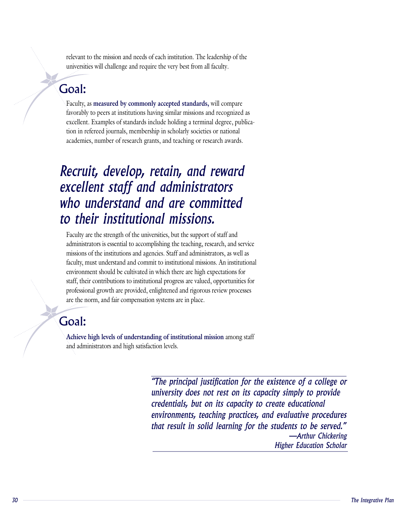relevant to the mission and needs of each institution. The leadership of the universities will challenge and require the very best from all faculty.

#### $f_{\alpha\alpha}$  $\epsilon$  and standards include holding a terminal degree, publica-degree, publica-degree, publica-degree, publica-degree, publica-degree, publica-degree, publica-degree, publica-degree, publica-degree, publica-degree, publica Goal:

Faculty, as

**iOal:**<br>Faculty, as measured by commonly accepted standards, will compare favorably to peers at institutions having similar missions and recognized as excellent. Examples of standards include holding a terminal degree, publication in refereed journals, membership in scholarly societies or national academies, number of research grants, and teaching or research awards.

# Recruit, develop, retain, and reward excellent staff and administrators who understand and are committed to their institutional missions. missions and administrators, and administrators, and administrators, as well as well as well as well as well a

*administrators is essential to accomplishing the teaching, research, and service* missions of the institutions and agencies. Staff and administrators, as well as faculty, must understand and commit to institutional missions. An institutional *environment* should be cultivated in which there are high expectations for  $\alpha$ , and in place. *that progress are valued, opportunities for solid progress are valued, opportunities for* Faculty are the strength of the universities, but the support of staff and staff, their contributions to institutional progress are valued, opportunities for are the norm, and fair compensation systems are in place.

# and administrators and high satisfaction levels. Goal:

**Achieve high levels of understanding of institutional mission** among staff

environments, teaching practices, and evaluative procedures<br>that result in solid learning for the students to be served."<br>——Arthur Chickering<br>Higher Education Scholar<br>The Integrative Plan "The principal justification for the existence of a college or university does not rest on its capacity simply to provide credentials, but on its capacity to create educational environments, teaching practices, and evaluative procedures that result in solid learning for the students to be served." -Arthur Chickering **Higher Education Scholar**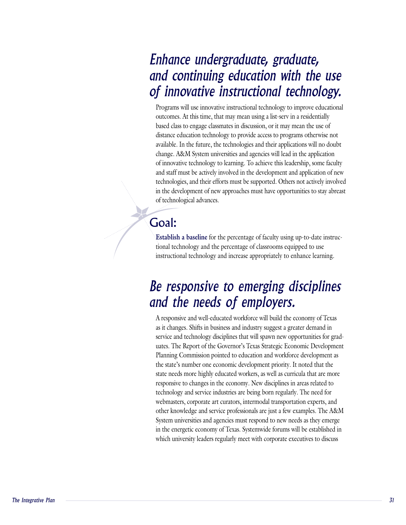## Programs will use innovative instructional technology to improve educational *and the needs of employers.* f innovative instructional technology based class to engage class to engage comment *Be responsive to emerging disciplines*

Programs will use innovative instructional technology to improve educational outcomes. At this time, that may mean using a list-serv in a residentially based class to engage classmates in discussion, or it may mean the use of distance education technology to provide access to programs otherwise not available. In the future, the technologies and their applications will no doubt change. A&M System universities and agencies will lead in the application of innovative technology to learning. To achieve this leadership, some faculty and staff must be actively involved in the development and application of new technologies, and their efforts must be supported. Others not actively involved in the development of new approaches must have opportunities to stay abreast of technological advances.

#### the percentage of classrooms equipped to use  $\mathcal{L}_{\text{total}}$ :  $\sum_{i=1}^{n}$

**Establish a baseline** for the percentage of faculty using up-to-date instructional technology and the percentage of classrooms equipped to use instructional technology and increase appropriately to enhance learning.

## a responsive to emerging disciplines nd the needs of employers  $\mathbf r$  $\mathbf{r}$  and the technology discreting for gradients for  $\mathbf{r}$

other knowledge and service professionals are just a few examples. The A&M<br>System universities and agencies must respond to new needs as they emerge<br>in the energetic economy of Texas. Systemwide forums will be established A responsive and well-educated worktorce will build the economy of Texas as it changes. Shifts in business and industry suggest a greater demand in uates. The Report of the Governor's Texas Strategic Economic Development Planning Commission pointed to education and workforce development as service and technology disciplines that will spawn new opportunities for gradthe state's number one economic development priority. It noted that the state needs more highly educated workers, as well as curricula that are more responsive to changes in the economy. New disciplines in areas related to technology and service industries are being born regularly. The need for webmasters, corporate art curators, intermodal transportation experts, and other knowledge and service professionals are just a few examples. The A&M System universities and agencies must respond to new needs as they emerge in the energetic economy of Texas. Systemwide forums will be established in which university leaders regularly meet with corporate executives to discuss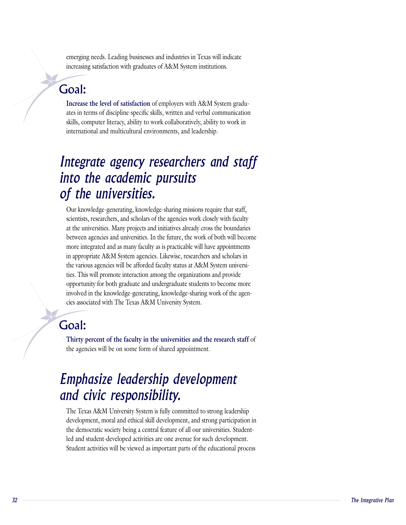emerging needs. Leading businesses and industries in Texas will indicate increasing satisfaction with graduates of A&M System institutions.

#### $\mathbf{a}$  in terms of discipline-specific skills, written and verbal communications and verbal communications and verbal communications and verbal communications and verbal communications and verbal communications and verb  $s_{\text{max}}$ Goal:

**I**<br>**Increase the level of satisfaction** of employers with A&M System graduates in terms of discipline-specific skills, written and verbal communication skills, computer literacy, ability to work collaboratively, ability to work in international and multicultural environments, and leadership.

# Integrate agency researchers and staff into the academic pursuits  $f$  the universities. The agencies with  $f$  $\boldsymbol{\eta}$  and universities. Many projects and initiatives already cross the boundaries already cross the boundaries of  $\boldsymbol{\eta}$

Our knowledge-generating, knowledge-sharing missions require that staff, scientists, researchers, and scholars of the agencies work closely with faculty at the universities. Many projects and initiatives already cross the boundaries between agencies and universities. In the future, the work of both will become more integrated and as many faculty as is practicable will have appointments in appropriate A&M System agencies. Likewise, researchers and scholars in the various agencies will be afforded faculty status at A&M System universities. This will promote interaction among the organizations and provide. opportunity for both graduate and undergraduate students to become more involved in the knowledge-generating, knowledge-sharing work of the agencies associated with The Texas A&M University System.

# the agencies will be on some form of shared approximation  $\mathcal{L}$

**Thirty percent of the faculty in the universities and the research staff** of the agencies will be on some form of shared appointment.

## The Tease about the System is the Texas A  $\bm{v}$  moral and ethical setting participation in the strong participation in the strong participation in the strong participation in the strong participation in the strong participation in the strong participation in th  $\sum_{i=1}^{\infty}$  a central feature of all our university.

The Texas A&M University System is fully committed to strong leadership<br>development, moral and ethical skill development, and strong participation in<br>the democratic society being a central feature of all our universities. The Texas A&M University System is fully committed to strong leadership development, moral and ethical skill development, and strong participation in led and student-developed activities are one avenue for such development.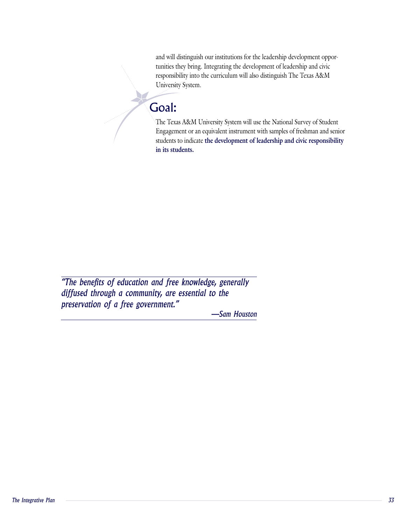tunities they bring. Integrating the development of leadership and civic responsibility into the curriculum will also distinguish The Texas A&M and will distinguish our institutions for the leadership development oppor-University System.

The Texas A $\mathcal{L}_{\mathcal{A}}$  and National Survey of Studients System will use the National Survey of Students Survey of Students

#### $\sum_{i=1}^n a_i$ Goal:

W

The Texas A&M University System will use the National Survey of Student Engagement or an equivalent instrument with samples of freshman and senior **the development of leadership and civic responsibility**  $\mathbf{r}$ **in its students.** *diffused through a community, are essential to the* 

"The benefits of education and free knowledge, generally diffused through a community, are essential to the preservation of a free government."

-Sam Houston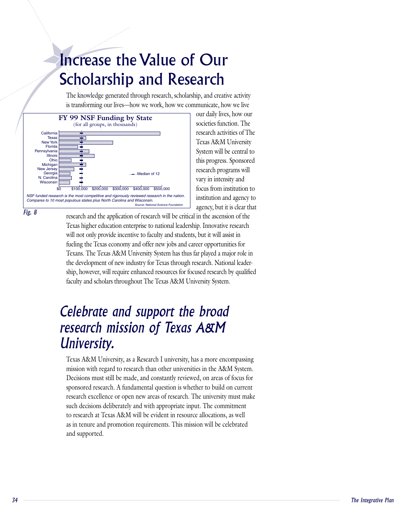# Increase the Value of Our Scholarship and Research The knowledge generation research, scholarship, and creative activity activity activity activity activity activity activity activity activity activity activity activity activity activity activity activity activity activit

The knowledge generated through research, scholarship, and creative activity is transforming our lives—how we work, how we communicate, how we live



our daily lives, how our societies function. The research activities of The Texas A&M University System will be central to this progress. Sponsored research programs will vary in intensity and institution and agency to

research and the application of research will be critical in the ascension of the Texas higher education enterprise to national leadership. Innovative research will not only provide incentive to faculty and students, but it will assist in fueling the Texas economy and offer new jobs and career opportunities for Texans. The Texas A&M University System has thus far played a major role in the development of new industry for Texas through research. National leadership, however, will require enhanced resources for focused research by qualified faculty and scholars throughout The Texas A&M University System.

## Celebrate and support the broad  $\mathcal{L}$ sturtit inissivity, italiansistosity, has a more encompassion in  $\mathcal{L}$ mission with regard to regard the A&M System with regard to regard the A&M System. In the A&M System with the A&M System with  $\sim$  $\mathcal{D}$  and constantly reviewed, and constantly reviewed, on areas of focus for form

For a case of the *The Integrative Planch* and supported.<br>
The Integrative Planch and Section is the University and Section 2. This mission will be celebrated<br>
and supported.<br>
The *Integrative Plan* Texas A&M University, as a Research I university, has a more encompassing mission with regard to research than other universities in the A&M System. Decisions must still be made, and constantly reviewed, on areas of focus for sponsored research. A fundamental question is whether to build on current research excellence or open new areas of research. The university must make such decisions deliberately and with appropriate input. The commitment to research at Texas A&M will be evident in resource allocations, as well as in tenure and promotion requirements. This mission will be celebrated and supported.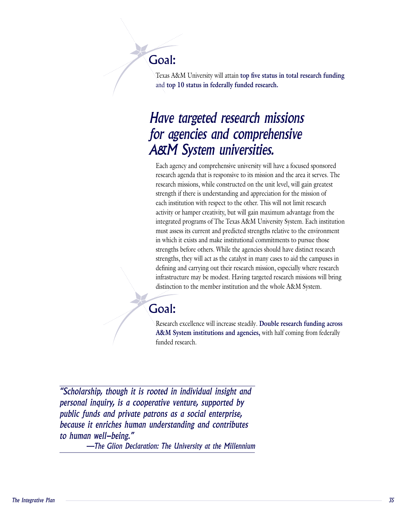# Goal:

Texas A&M University will also attained the second will also attained the second will also attained the second

Texas A&M University will attain top five status in total research funding and top 10 status in federally funded research.

## Have targeted research missions  $\sigma$  agencies and comprehensive research agenda that is responsive to its mission and the area it serves. The area is made to its mission and  $rac{1}{2}$

Each agency and comprehensive university will have a focused sponsored research agenda that is responsive to its mission and the area it serves. The research missions, while constructed on the unit level, will gain greatest strength if there is understanding and appreciation for the mission of each institution with respect to the other. This will not limit research activity or hamper creativity, but will gain maximum advantage from the integrated programs of The Texas A&M University System. Each institution must assess its current and predicted strengths relative to the environment in which it exists and make institutional commitments to pursue those strengths before others. While the agencies should have distinct research distinction to the member in stitution and the member in the whole A cooperative venture, is a computer of the whole and the computer of the cooperative venture, is a cooperative venture, supported by  $\frac{1}{2}$  and  $\frac{1}{2$ defining and carrying out their research mission, especially where research *public funds and carrying out their research mission, especially where research*<br>infrastructure may be modest. Having targeted research missions will bring distinction to the member institution and the whole A&M System

#### funded research. Goal:

Research excellence will increase steadily.

**Double research funding across COAL:**<br>Research excellence will increase steadily. Double research funding across<br>A&M System institutions and agencies, with half coming from federally **Example 3.1** *Research excellence will increase steadily* 

public funds and private patrons as a social enterprise,<br>because it enriches human understanding and contributes<br>to human well-being."<br>—The Glion Declaration: The University at the Millennium<br><br>—The Glion Declaration: The U "Scholarship, though it is rooted in individual insight and personal inquiry, is a cooperative venture, supported by public funds and private patrons as a social enterprise, because it enriches human understanding and contributes to human well-being."

-The Glion Declaration: The University at the Millennium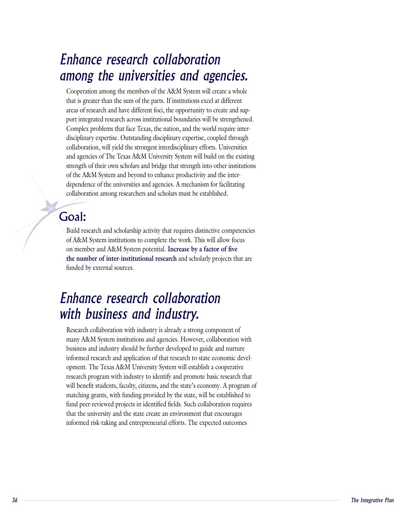### mong the universities and agencies. Enhance research collaboration among the universities and agencies.

Cooperation among the members of the A&M System will create a whole<br>that is greater than the sum of the parts. If institutions excel at different that is greater than the sum of the parts. If institutions excel at different areas of research and have different foci, the opportunity to create and support integrated research across institutional boundaries will be strengthened. Complex problems that face Texas, the nation, and the world require interdisciplinary expertise. Outstanding disciplinary expertise, coupled through collaboration, will yield the strongest interdisciplinary efforts. Universities and agencies of The Texas A&M University System will build on the existing strength of their own scholars and bridge that strength into other institutions of the A&M System and beyond to enhance productivity and the interdependence of the universities and agencies. A mechanism for facilitating collaboration among researchers and scholars must be established.

#### $\mathbf{S}$ on member and A&M System potential. Goal:

Build research and scholarship activity that requires distinctive competencies of A&M System institutions to complete the work. This will allow focus on member and A&M System potential. Increase by a factor of five **the number of inter-institutional research** and scholarly projects that are funded by external sources.

Build research and scholarship activity that requires distinctive competencies

## ith business and industry. However, and a Enhance research collaboration  $\sum_{i=1}^{n}$  should be further developed to guide and nurture  $\sum_{i=1}^{n}$

that the university and the state create an environment that encourages<br>informed risk-taking and entrepreneurial efforts. The expected outcomes<br>formed risk-taking and entrepreneurial efforts. The expected outcomes Research collaboration with industry is already a strong component of many A&M System institutions and agencies. However, collaboration with business and industry should be further developed to guide and nurture opment. The Texas A&M University System will establish a cooperative research program with industry to identify and promote basic research that informed research and application of that research to state economic develwill benefit students, faculty, citizens, and the state's economy. A program of matching grants, with funding provided by the state, will be established to fund peer-reviewed projects in identified fields. Such collaboration requires that the university and the state create an environment that encourages informed risk-taking and entrepreneurial efforts. The expected outcomes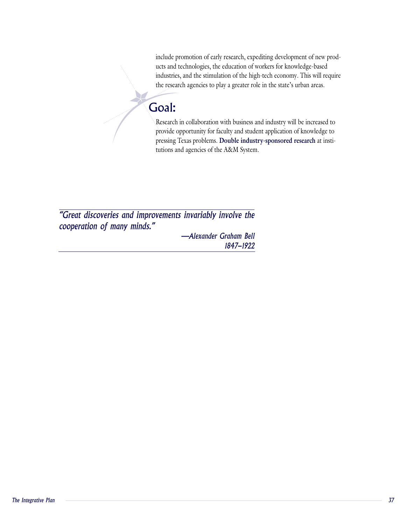ucts and technologies, the education of workers for knowledge-based *industries, and the stimulation of the high-tech economy. This will require* include promotion of early research, expediting development of new prodthe research agencies to play a greater role in the state's urban areas. *cooperation of many minds."*

Research in collaboration with business and industry will be increased to

#### provide opportunity for faculty and student application of knowledge to Goal:  $p_{\text{max}}$

Research in collaboration with business and industry will be increased to with business and industry will be increased to<br>aculty and student application of knowledge to<br>**Double industry-sponsored research** at institutions and agencies of the A&M System. *—Alexander Graham Bell1847-1922*

"Great discoveries and improvements invariably involve the cooperation of many minds."

> -Alexander Graham Bell 1847-1922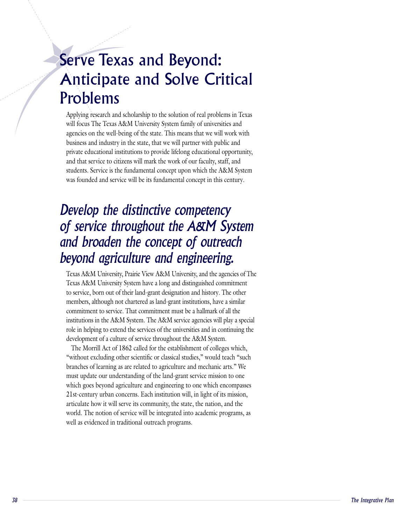# Serve Texas and Beyond: Anticipate and Solve Critical Problems **The Texas A**  $\overline{\mathbf{a}}$  , we will we will work with with with will work with with with will work with with with with with  $\overline{\mathbf{a}}$

*and broaden the concept of outreach* 

*beyond agriculture and engineering.*

Applying research and scholarship to the solution of real problems in Texas agencies on the well-being of the state. This means that we will work with business and industry in the state, that we will partner with public and will focus The Texas A&M University System family of universities and private educational institutions to provide lifelong educational opportunity, and that service to citizens will mark the work of our faculty, staff, and students. Service is the fundamental concept upon which the A&M System was founded and service will be its fundamental concept in this century.

# Develop the distinctive competency of service throughout the A&M System The Divadent and Concept of Valicach eyond agriculture and engineering. to service, born out of the submitted and history.

Texas A&M University, Prairie View A&M University, and the agencies of The Texas A&M University System have a long and distinguished commitment to service, born out of their land-grant designation and history. The other members, although not chartered as land-grant institutions, have a similar institutions in the A&M System. The A&M service agencies will play a special role in helping to extend the services of the universities and in continuing the commitment to service. That commitment must be a hallmark of all the development of a culture of service throughout the A&M System.

world. The notion of service will be integrated into academic programs, as<br>well as evidenced in traditional outreach programs.<br>B The Morrill Act of 1862 called for the establishment of colleges which, "without excluding other scientific or classical studies," would teach "such branches of learning as are related to agriculture and mechanic arts." We must update our understanding of the land-grant service mission to one which goes beyond agriculture and engineering to one which encompasses 21st-century urban concerns. Each institution will, in light of its mission, articulate how it will serve its community, the state, the nation, and the world. The notion of service will be integrated into academic programs, as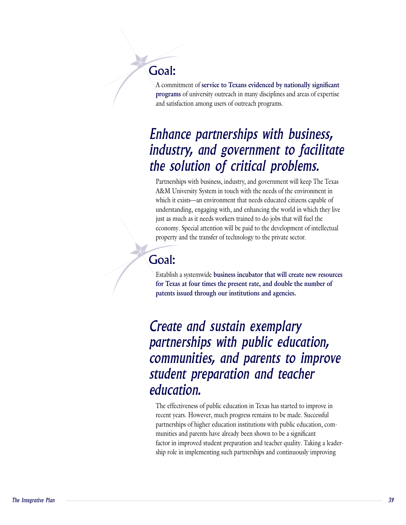#### and satisfaction among users of outreach programs.Goal:

A commitment of

A commitment of service to Texans evidenced by nationally significant **programs** of university outreach in many disciplines and areas of expertise and satisfaction among users of outreach programs.

## Partnerships with business, industry, and government will keep The Texas *student preparation and teacher* he solution of critical problems. the solution of critical problems. *partnerships with public education, Enhance partnerships with business,*

Partnerships with business, industry, and government will keep The Texas A&M University System in touch with the needs of the environment in which it exists—an environment that needs educated citizens capable of understanding, engaging with, and enhancing the world in which they live just as much as it needs workers trained to do jobs that will fuel the economy. Special attention will be paid to the development of intellectual property and the transfer of technology to the private sector.

## Goal:

Establish a systemwide

Establish a systemwide **business incubator that will create new resources for Texas at four times the present rate, and double the number of patents issued through our institutions and agencies.**

Create and sustain exemplary partnerships with public education, communities, and parents to improve  $\alpha$  and  $\beta$  public education in Texas has started to improve in Texas and  $\alpha$ education. partnerships of higher education institutions with public education, com-

recent years. However, much progress remains to be made. Successful<br>partnerships of higher education institutions with public education, com-<br>munities and parents have already been shown to be a significant<br>factor in impro The effectiveness of public education in Texas has started to improve in recent years. However, much progress remains to be made. Successful munities and parents have already been shown to be a significant partnerships of higher education institutions with public education, comship role in implementing such partnerships and continuously improving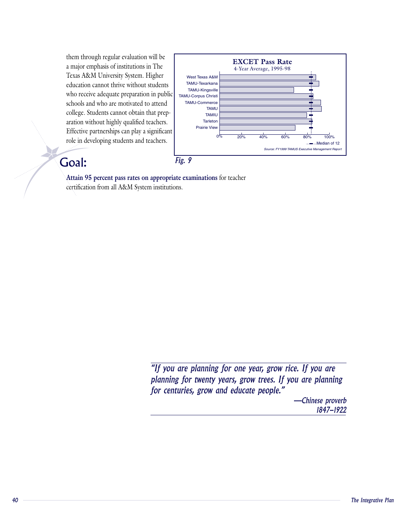them through regular evaluation will be a major emphasis of institutions in The Texas A&M University System. Higher education cannot thrive without students who receive adequate preparation in public schools and who are motivated to attend aration without highly qualified teachers. Effective partnerships can play a significant college. Students cannot obtain that preprole in developing students and teachers.



# $Goal:$  Fig

**Attain 95 percent pass rates on appropriate examinations** for teacher certification from all A&M System institutions.

> "If you are planning for one year, grow rice. If you are planning for twenty years, grow trees. If you are planning for centuries, grow and educate people."

 *The Integrative Plan* -Chinese proverb 1847-1922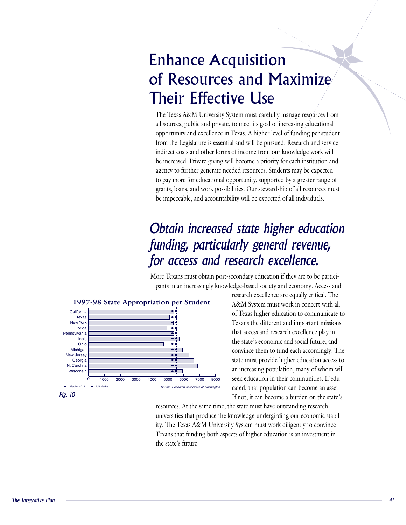## Enhance Acquisition of Resources and Maximize Their Effective Use  $\mathcal{L}$ The Texas A $\frac{d}{d}$  $\blacksquare$ opportunity and  $\blacksquare$  higher level of  $\blacksquare$

*funding, particularly general revenue,* 

*for access and research excellence.*

The Texas A&M University System must carefully manage resources from all sources, public and private, to meet its goal of increasing educational opportunity and excellence in Texas. A higher level of funding per student from the Legislature is essential and will be pursued. Research and service indirect costs and other forms of income from our knowledge work will be increased. Private giving will become a priority for each institution and agency to further generate needed resources. Students may be expected to pay more for educational opportunity, supported by a greater range of grants, loans, and work possibilities. Our stewardship of all resources must be impeccable, and accountability will be expected of all individuals.

## Obtain increased state higher education mone <sub>T</sub>exandery post-secondary education in the participal position in the participation is the participation in pr access and research excellence.  $\,$ research excellence.

dge-based society and economy. Access and More Texans must obtain post-secondary education if they are to be partici-



research excellence are equally critical. The A&M System must work in concert with all of Texas higher education to communicate to Texans the different and important missions that access and research excellence play in the state's economic and social future, and convince them to fund each accordingly. The state must provide higher education access to Source: Research Associates of Washington cated, that population can become an asset. an increasing population, many of whom will If not, it can become a burden on the state's  $\frac{1}{4000}$   $\frac{1}{5000}$   $\frac{1}{5000}$   $\frac{1}{8000}$  seek education in their communities. If edu-

resources. The same lime, the state mass have obtaining research<br>universities that produce the knowledge undergirding our economic stability. The Texas A&M University System must work diligently to convince<br>Texans that fun resources. At the same time, the state must have outstanding research ity. The Texas A&M University System must work diligently to convince Texans that funding both aspects of higher education is an investment in universities that produce the knowledge undergirding our economic stabil-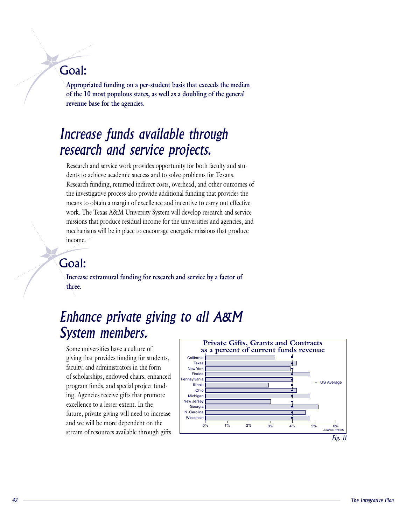## Goal:

**Appropriated funding on a per-student basis that exceeds the median**  of the 10 most populous states, as well as a doubling of the general *Envanue has for the agencies* **revenue base for the agencies.**  *System members.* 

### $R$ erch and service work work work provides  $\mu$ esearch and service projects.  $R_{\text{R}}$  and  $R_{\text{R}}$  costs, over  $\sum_{i=1}^{n} a_i$  costs, or

dents to achieve academic success and to solve problems for Texans. Research funding, returned indirect costs, overhead, and other outcomes of Research and service work provides opportunity for both faculty and stuthe investigative process also provide additional funding that provides the means to obtain a margin of excellence and incentive to carry out effective work. The Texas A&M University System will develop research and service missions that produce residual income for the universities and agencies, and mechanisms will be in place to encourage energetic missions that produce income.

# Goal:

**Increase extramural funding for research and service by a factor of three.** 

## $m$ undice private giving to an ricert wctom momhorc faculty, and administrators in the form

giving that provides funding for students, faculty, and administrators in the form Some universities have a culture of of scholarships, endowed chairs, enhanced. ing. Agencies receive gifts that promote program funds, and special project fundfuture, private giving will need to increase and we will be more dependent on the excellence to a lesser extent. In the stream of resources available through gifts.

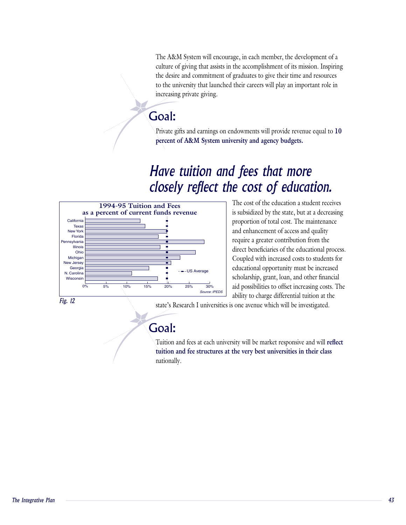The A&M System will encourage, in each member, the development of a culture of giving that assists in the accomplishment of its mission. Inspiring the desire and commitment of graduates to give their time and resources to the university that launched their careers will play an important role in increasing private giving.

Private gifts and earnings on endowments will provide revenue equal to

# Goal:

Private gifts and earnings on endowments will provide revenue equal to 10 **percent of A&M System university and agency budgets.**

## $T$  just of the education and  $T$ e cost of education. proportion of the maintenance of the main  $\mathcal{L}$



**STEP** 

The cost of the education a student receives is subsidized by the state, but at a decreasing proportion of total cost. The maintenance and enhancement of access and quality require a greater contribution from the direct beneficiaries of the educational process. Coupled with increased costs to students for educational opportunity must be increased  $\Box$   $\dot{\bullet}$  Research I university is obtained. It is one and other financial aid possibilities to offset increasing costs. The ability to charge differential tuition at the

Fig. 12

state's Research I universities is one avenue which will be investigated. Tuition and fees at each university will be matrix will be matrix will be matrix  $\mathcal{L} = \mathcal{L}$ 

# Goal:

Tuition and fees at each university will be market responsive and will reflect **tuition and fee structures at the very best universities in their class** nationally.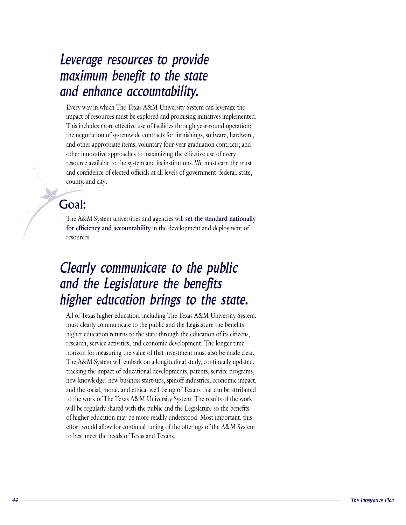## Every way in which The Texas A&M University System can leverage the *higher education brings to the state.*nd enhance accountability.  $T_{\text{max}}$  is included use of facilities through  $\sum_{i=1}^{n}$ *Clearly communicate to the public*Leverage resources to provide

The A&M System universities and agencies will

impact of resources must be explored and promising initiatives implemented. This includes more effective use of facilities through year-round operation; Every way in which The Texas A&M University System can leverage the the negotiation of systemwide contracts for furnishings, software, hardware, and other appropriate items; voluntary four-year graduation contracts; and other innovative approaches to maximizing the effective use of every resource available to the system and its institutions. We must earn the trust and confidence of elected officials at all levels of government: federal, state, county, and city.

#### res *res* Goal:

**for efficiency**<br>The A&M System universities and agencies will set the standard national<br>for efficiency and accountability in the development and deployment of **set the standard nationally**  resources.

## Clearly communicate to the public na inclusionalistic including The Texas A igher education brings to the state  $h_{\theta}$  is the characteristic returns to the education of  $\theta$

will be regularly shared with the public and the Legislature so the benefits<br>of higher education may be more readily understood. Most important, this<br>effort would allow for continual tuning of the offerings of the A&M Syst All of Texas higher education, including The Texas A&M University System, must clearly communicate to the public and the Legislature the benefits higher education returns to the state through the education of its citizens, research, service activities, and economic development. The longer time horizon for measuring the value of that investment must also be made clear. The A&M System will embark on a longitudinal study, continually updated, tracking the impact of educational developments, patents, service programs, new knowledge, new business start-ups, spinoff industries, economic impact, and the social, moral, and ethical well-being of Texans that can be attributed to the work of The Texas A&M University System. The results of the work will be regularly shared with the public and the Legislature so the benefits. of higher education may be more readily understood. Most important, this effort would allow for continual tuning of the offerings of the A&M System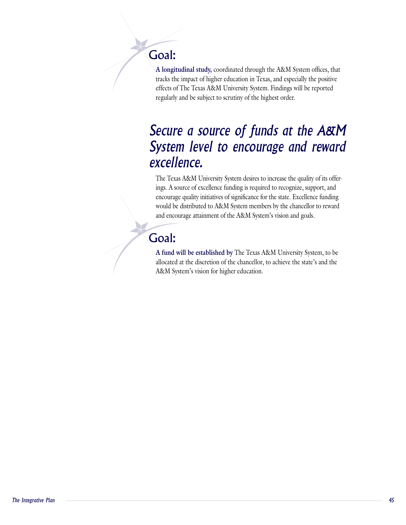#### tracks the impact of higher education in Texas, and especially the positive Goal:  $\epsilon$  Texas A $\epsilon$

**A**<br>**A longitudinal study, coordinated through the A&M System offices, that** tracks the impact of higher education in Texas, and especially the positive effects of The Texas A&M University System. Findings will be reported

## Secure a source of funds at the A&M  $\bm y$ sich Teres to encourage and femalit  $\boldsymbol{x}$  cellence. A source funding is required to  $\boldsymbol{x}$ encourage quality in initiatives of significance for the state funding  $\mathcal{L}(\mathcal{L})$

ings. A source of excellence funding is required to recognize, support, and encourage quality initiatives of significance for the state. Excellence funding The Texas A&M University System desires to increase the quality of its offerwould be distributed to A&M System members by the chancellor to reward and encourage attainment of the A&M System's vision and goals.

#### $\Delta$  $A \bullet A$ Goal:

**A fund will be established by** The Texas A&M University System, to be allocated at the discretion of the chancellor, to achieve the state's and the A&M System's vision for higher education.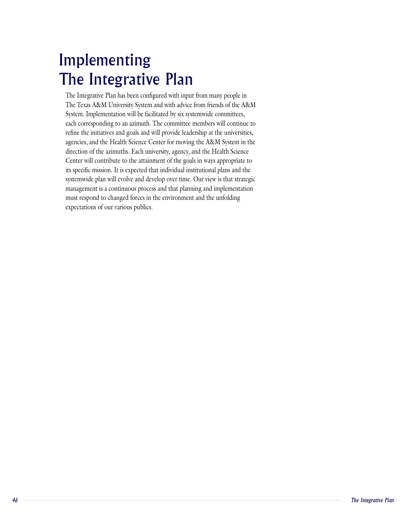# Implementing The Integrative Plan  $\mathcal{L}$  is the facilitation will be facilitated by six system.

The Integrative Plan has been configured with input from many people in The Texas A&M University System and with advice from friends of the A&M System. Implementation will be facilitated by six systemwide committees, each corresponding to an azimuth. The committee members will continue to refine the initiatives and goals and will provide leadership at the universities, agencies, and the Health Science Center for moving the A&M System in the direction of the azimuths. Each university, agency, and the Health Science Center will contribute to the attainment of the goals in ways appropriate to its specific mission. It is expected that individual institutional plans and the systemwide plan will evolve and develop over time. Our view is that strategic management is a continuous process and that planning and implementation must respond to changed forces in the environment and the unfolding expectations of our various publics.